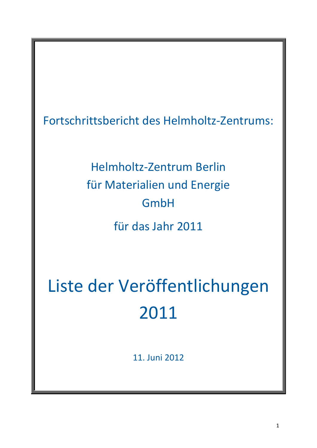Fortschrittsbericht des Helmholtz-Zentrums:

Helmholtz-Zentrum Berlin für Materialien und Energie GmbH für das Jahr 2011

Liste der Veröffentlichungen 2011

11. Juni 2012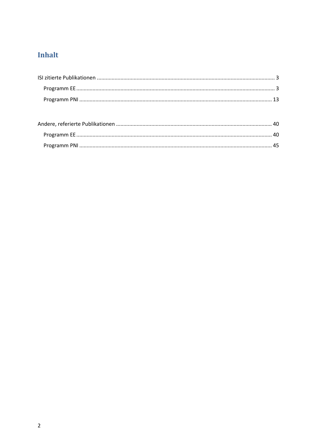# Inhalt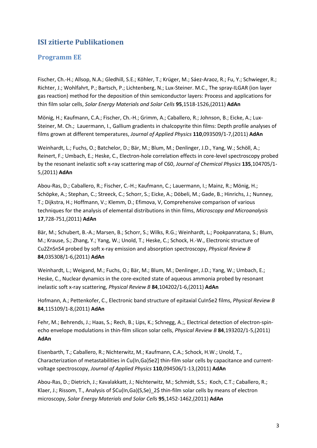## <span id="page-2-0"></span>**ISI zitierte Publikationen**

#### <span id="page-2-1"></span>**Programm EE**

Fischer, Ch.-H.; Allsop, N.A.; Gledhill, S.E.; Köhler, T.; Krüger, M.; Sáez-Araoz, R.; Fu, Y.; Schwieger, R.; Richter, J.; Wohlfahrt, P.; Bartsch, P.; Lichtenberg, N.; Lux-Steiner. M.C., The spray-ILGAR (ion layer gas reaction) method for the deposition of thin semiconductor layers: Process and applications for thin film solar cells, *Solar Energy Materials and Solar Cells* **95**,1518-1526,(2011) **AdAn**

Mönig, H.; Kaufmann, C.A.; Fischer, Ch.-H.; Grimm, A.; Caballero, R.; Johnson, B.; Eicke, A.; Lux-Steiner, M. Ch.; Lauermann, I., Gallium gradients in chalcopyrite thin films: Depth profile analyses of films grown at different temperatures, *Journal of Applied Physics* **110**,093509/1-7,(2011) **AdAn**

Weinhardt, L.; Fuchs, O.; Batchelor, D.; Bär, M.; Blum, M.; Denlinger, J.D., Yang, W.; Schöll, A.; Reinert, F.; Umbach, E.; Heske, C., Electron-hole correlation effects in core-level spectroscopy probed by the resonant inelastic soft x-ray scattering map of C60, *Journal of Chemical Physics* **135**,104705/1- 5,(2011) **AdAn**

Abou-Ras, D.; Caballero, R.; Fischer, C.-H.; Kaufmann, C.; Lauermann, I.; Mainz, R.; Mönig, H.; Schöpke, A.; Stephan, C.; Streeck, C.; Schorr, S.; Eicke, A.; Döbeli, M.; Gade, B.; Hinrichs, J.; Nunney, T.; Dijkstra, H.; Hoffmann, V.; Klemm, D.; Efimova, V, Comprehensive comparison of various techniques for the analysis of elemental distributions in thin films, *Microscopy and Microanalysis* **17**,728-751,(2011) **AdAn**

Bär, M.; Schubert, B.-A.; Marsen, B.; Schorr, S.; Wilks, R.G.; Weinhardt, L.; Pookpanratana, S.; Blum, M.; Krause, S.; Zhang, Y.; Yang, W.; Unold, T.; Heske, C.; Schock, H.-W., Electronic structure of Cu2ZnSnS4 probed by soft x-ray emission and absorption spectroscopy, *Physical Review B* **84**,035308/1-6,(2011) **AdAn**

Weinhardt, L.; Weigand, M.; Fuchs, O.; Bär, M.; Blum, M.; Denlinger, J.D.; Yang, W.; Umbach, E.; Heske, C., Nuclear dynamics in the core-excited state of aqueous ammonia probed by resonant inelastic soft x-ray scattering, *Physical Review B* **84**,104202/1-6,(2011) **AdAn**

Hofmann, A.; Pettenkofer, C., Electronic band structure of epitaxial CuInSe2 films, *Physical Review B* **84**,115109/1-8,(2011) **AdAn**

Fehr, M.; Behrends, J.; Haas, S.; Rech, B.; Lips, K.; Schnegg, A.;, Electrical detection of electron-spinecho envelope modulations in thin-film silicon solar cells, *Physical Review B* **84**,193202/1-5,(2011) **AdAn**

Eisenbarth, T.; Caballero, R.; Nichterwitz, M.; Kaufmann, C.A.; Schock, H.W.; Unold, T., Characterization of metastabilities in Cu(In,Ga)Se2] thin-film solar cells by capacitance and currentvoltage spectroscopy, *Journal of Applied Physics* **110**,094506/1-13,(2011) **AdAn**

Abou-Ras, D.; Dietrich, J.; Kavalakkatt, J.; Nichterwitz, M.; Schmidt, S.S.; Koch, C.T.; Caballero, R.; Klaer, J.; Rissom, T., Analysis of \$Cu(In,Ga)(S,Se)\_2\$ thin-film solar cells by means of electron microscopy, *Solar Energy Materials and Solar Cells* **95**,1452-1462,(2011) **AdAn**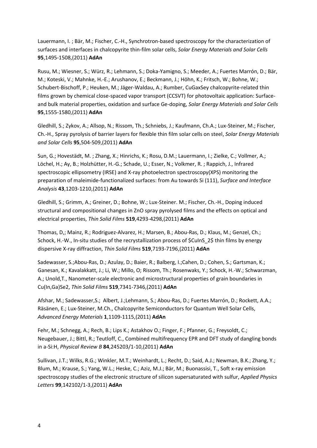Lauermann, I. ; Bär, M.; Fischer, C.-H., Synchrotron-based spectroscopy for the characterization of surfaces and interfaces in chalcopyrite thin-film solar cells, *Solar Energy Materials and Solar Cells* **95**,1495-1508,(2011) **AdAn**

Rusu, M.; Wiesner, S.; Würz, R.; Lehmann, S.; Doka-Yamigno, S.; Meeder, A.; Fuertes Marrón, D.; Bär, M.; Koteski, V.; Mahnke, H.-E.; Arushanov, E.; Beckmann, J.; Höhn, K.; Fritsch, W.; Bohne, W.; Schubert-Bischoff, P.; Heuken, M.; Jäger-Waldau, A.; Rumber, CuGaxSey chalcopyrite-related thin films grown by chemical close-spaced vapor transport (CCSVT) for photovoltaic application: Surfaceand bulk material properties, oxidation and surface Ge-doping, *Solar Energy Materials and Solar Cells* **95**,1555-1580,(2011) **AdAn**

Gledhill, S.; Zykov, A.; Allsop, N.; Rissom, Th.; Schniebs, J.; Kaufmann, Ch.A.; Lux-Steiner, M.; Fischer, Ch.-H., Spray pyrolysis of barrier layers for flexible thin film solar cells on steel, *Solar Energy Materials and Solar Cells* **95**,504-509,(2011) **AdAn**

Sun, G.; Hovestädt, M. ; Zhang, X.; Hinrichs, K.; Rosu, D.M.; Lauermann, I.; Zielke, C.; Vollmer, A.; Löchel, H.; Ay, B.; Holzhütter, H.-G.; Schade, U.; Esser, N.; Volkmer, R. ; Rappich, J., Infrared spectroscopic ellipsometry (IRSE) and X-ray photoelectron spectroscopy(XPS) monitoring the preparation of maleimide-functionalized surfaces: from Au towards Si (111), *Surface and Interface Analysis* **43**,1203-1210,(2011) **AdAn**

Gledhill, S.; Grimm, A.; Greiner, D.; Bohne, W.; Lux-Steiner. M.; Fischer, Ch.-H., Doping induced structural and compositional changes in ZnO spray pyrolysed films and the effects on optical and electrical properties, *Thin Solid Films* **519**,4293-4298,(2011) **AdAn**

Thomas, D,; Mainz, R.; Rodriguez-Alvarez, H.; Marsen, B.; Abou-Ras, D.; Klaus, M.; Genzel, Ch.; Schock, H.-W., In-situ studies of the recrystallization process of \$CuInS\_2\$ thin films by energy dispersive X-ray diffraction, *Thin Solid Films* **519**,7193-7196,(2011) **AdAn**

Sadewasser, S.;Abou-Ras, D.; Azulay, D.; Baier, R.; Balberg, I.;Cahen, D.; Cohen, S.; Gartsman, K.; Ganesan, K.; Kavalakkatt, J.; Li, W.; Millo, O; Rissom, Th.; Rosenwaks, Y.; Schock, H.-W.; Schwarzman, A.; Unold,T., Nanometer-scale electronic and microstructural properties of grain boundaries in Cu(In,Ga)Se2, *Thin Solid Films* **519**,7341-7346,(2011) **AdAn**

Afshar, M.; Sadewasser,S.; Albert, J.;Lehmann, S.; Abou-Ras, D.; Fuertes Marrón, D.; Rockett, A.A.; Räsänen, E.; Lux-Steiner, M.Ch., Chalcopyrite Semiconductors for Quantum Well Solar Cells, *Advanced Energy Materials* **1**,1109-1115,(2011) **AdAn**

Fehr, M.; Schnegg, A.; Rech, B.; Lips K.; Astakhov O.; Finger, F.; Pfanner, G.; Freysoldt, C.; Neugebauer, J.; Bittl, R.; Teutloff, C., Combined multifrequency EPR and DFT study of dangling bonds in a-Si:H, *Physical Review B* **84**,245203/1-10,(2011) **AdAn**

Sullivan, J.T.; Wilks, R.G.; Winkler, M.T.; Weinhardt, L.; Recht, D.; Said, A.J.; Newman, B.K.; Zhang, Y.; Blum, M.; Krause, S.; Yang, W.L.; Heske, C.; Aziz, M.J.; Bär, M.; Buonassisi, T., Soft x-ray emission spectroscopy studies of the electronic structure of silicon supersaturated with sulfur, *Applied Physics Letters* **99**,142102/1-3,(2011) **AdAn**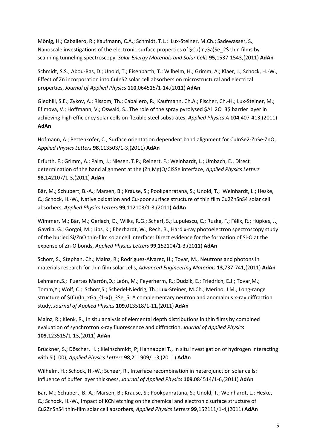Mönig, H.; Caballero, R.; Kaufmann, C.A.; Schmidt, T.L.: Lux-Steiner, M.Ch.; Sadewasser, S., Nanoscale investigations of the electronic surface properties of \$Cu(In,Ga)Se\_2\$ thin films by scanning tunneling spectroscopy, *Solar Energy Materials and Solar Cells* **95**,1537-1543,(2011) **AdAn**

Schmidt, S.S.; Abou-Ras, D.; Unold, T.; Eisenbarth, T.; Wilhelm, H.; Grimm, A.; Klaer, J.; Schock, H.-W., Effect of Zn incorporation into CuInS2 solar cell absorbers on microstructural and electrical properties, *Journal of Applied Physics* **110**,064515/1-14,(2011) **AdAn**

Gledhill, S.E.; Zykov, A.; Rissom, Th.; Caballero, R.; Kaufmann, Ch.A.; Fischer, Ch.-H.; Lux-Steiner, M.; Efimova, V.; Hoffmann, V.; Oswald, S., The role of the spray pyrolysed \$Al\_2O\_3\$ barrier layer in achieving high efficiency solar cells on flexible steel substrates, *Applied Physics A* **104**,407-413,(2011) **AdAn**

Hofmann, A.; Pettenkofer, C., Surface orientation dependent band alignment for CuInSe2-ZnSe-ZnO, *Applied Physics Letters* **98**,113503/1-3,(2011) **AdAn**

Erfurth, F.; Grimm, A.; Palm, J.; Niesen, T.P.; Reinert, F.; Weinhardt, L.; Umbach, E., Direct determination of the band alignment at the (Zn,Mg)O/CISSe interface, *Applied Physics Letters* **98**,142107/1-3,(2011) **AdAn**

Bär, M.; Schubert, B.-A.; Marsen, B.; Krause, S.; Pookpanratana, S.; Unold, T.; Weinhardt, L.; Heske, C.; Schock, H.-W., Native oxidation and Cu-poor surface structure of thin film Cu2ZnSnS4 solar cell absorbers, *Applied Physics Letters* **99**,112103/1-3,(2011) **AdAn**

Wimmer, M.; Bär, M.; Gerlach, D.; Wilks, R.G.; Scherf, S.; Lupulescu, C.; Ruske, F.; Félix, R.; Hüpkes, J.; Gavrila, G.; Gorgoi, M.; Lips, K.; Eberhardt, W.; Rech, B., Hard x-ray photoelectron spectroscopy study of the buried Si/ZnO thin-film solar cell interface: Direct evidence for the formation of Si-O at the expense of Zn-O bonds, *Applied Physics Letters* **99**,152104/1-3,(2011) **AdAn**

Schorr, S.; Stephan, Ch.; Mainz, R.; Rodriguez-Alvarez, H.; Tovar, M., Neutrons and photons in materials research for thin film solar cells, *Advanced Engineering Materials* **13**,737-741,(2011) **AdAn**

Lehmann,S.; Fuertes Marrón,D.; León, M.; Feyerherm, R.; Dudzik, E.; Friedrich, E.J.; Tovar,M.; Tomm,Y.; Wolf, C.; Schorr,S.; Schedel-Niedrig, Th.; Lux-Steiner, M.Ch.; Merino, J.M., Long-range structure of \$(Cu(In\_xGa\_{1-x})\_3Se\_5: A complementary neutron and anomalous x-ray diffraction study, *Journal of Applied Physics* **109**,013518/1-11,(2011) **AdAn**

Mainz, R.; Klenk, R., In situ analysis of elemental depth distributions in thin films by combined evaluation of synchrotron x-ray fluorescence and diffraction, *Journal of Applied Physics* **109**,123515/1-13,(2011) **AdAn**

Brückner, S.; Döscher, H. ; Kleinschmidt, P; Hannappel T., In situ investigation of hydrogen interacting with Si(100), *Applied Physics Letters* **98**,211909/1-3,(2011) **AdAn**

Wilhelm, H.; Schock, H.-W.; Scheer, R., Interface recombination in heterojunction solar cells: Influence of buffer layer thickness, *Journal of Applied Physics* **109**,084514/1-6,(2011) **AdAn**

Bär, M.; Schubert, B.-A.; Marsen, B.; Krause, S.; Pookpanratana, S.; Unold, T.; Weinhardt, L.; Heske, C.; Schock, H.-W., Impact of KCN etching on the chemical and electronic surface structure of Cu2ZnSnS4 thin-film solar cell absorbers, *Applied Physics Letters* **99**,152111/1-4,(2011) **AdAn**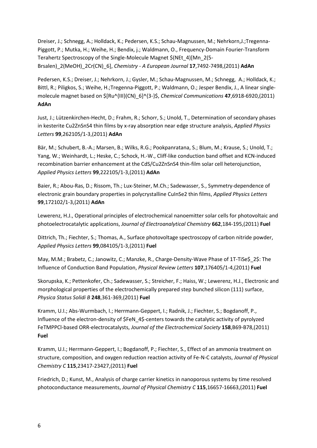Dreiser, J.; Schnegg, A.; Holldack, K.; Pedersen, K.S.; Schau-Magnussen, M.; Nehrkorn,J.;Tregenna-Piggott, P.; Mutka, H.; Weihe, H.; Bendix, j.; Waldmann, O., Frequency-Domain Fourier-Transform Terahertz Spectroscopy of the Single-Molecule Magnet \$(NEt\_4)[Mn\_2(5- Brsalen)\_2(MeOH)\_2Cr(CN)\_6], *Chemistry - A European Journal* **17**,7492-7498,(2011) **AdAn**

Pedersen, K.S.; Dreiser, J.; Nehrkorn, J.; Gysler, M.; Schau-Magnussen, M.; Schnegg, A.; Holldack, K.; Bittl, R.; Piligkos, S.; Weihe, H.;Tregenna-Piggott, P.; Waldmann, O.; Jesper Bendix, J., A linear singlemolecule magnet based on \$[Ru^{III}(CN)\_6]^{3-}\$, *Chemical Communications* **47**,6918-6920,(2011) **AdAn**

Just, J.; Lützenkirchen-Hecht, D.; Frahm, R.; Schorr, S.; Unold, T., Determination of secondary phases in kesterite Cu2ZnSnS4 thin films by x-ray absorption near edge structure analysis, *Applied Physics Letters* **99**,262105/1-3,(2011) **AdAn**

Bär, M.; Schubert, B.-A.; Marsen, B.; Wilks, R.G.; Pookpanratana, S.; Blum, M.; Krause, S.; Unold, T.; Yang, W.; Weinhardt, L.; Heske, C.; Schock, H.-W., Cliff-like conduction band offset and KCN-induced recombination barrier enhancement at the CdS/Cu2ZnSnS4 thin-film solar cell heterojunction, *Applied Physics Letters* **99**,222105/1-3,(2011) **AdAn**

Baier, R.; Abou-Ras, D.; Rissom, Th.; Lux-Steiner, M.Ch.; Sadewasser, S., Symmetry-dependence of electronic grain boundary properties in polycrystalline CuInSe2 thin films, *Applied Physics Letters* **99**,172102/1-3,(2011) **AdAn**

Lewerenz, H.J., Operational principles of electrochemical nanoemitter solar cells for photovoltaic and photoelectrocatalytic applications, *Journal of Electroanalytical Chemistry* **662**,184-195,(2011) **Fuel**

Dittrich, Th.; Fiechter, S.; Thomas, A., Surface photovoltage spectroscopy of carbon nitride powder, *Applied Physics Letters* **99**,084105/1-3,(2011) **Fuel**

May, M.M.; Brabetz, C.; Janowitz, C.; Manzke, R., Charge-Density-Wave Phase of 1T-TiSe\$\_2\$: The Influence of Conduction Band Population, *Physical Review Letters* **107**,176405/1-4,(2011) **Fuel**

Skorupska, K.; Pettenkofer, Ch.; Sadewasser, S.; Streicher, F.; Haiss, W.; Lewerenz, H.J., Electronic and morphological properties of the electrochemically prepared step bunched silicon (111) surface, *Physica Status Solidi B* **248**,361-369,(2011) **Fuel**

Kramm, U.I.; Abs-Wurmbach, I.; Herrmann-Geppert, I.; Radnik, J.; Fiechter, S.; Bogdanoff, P., Influence of the electron-density of \$FeN\_4\$-centers towards the catalytic activity of pyrolyzed FeTMPPCl-based ORR-electrocatalysts, *Journal of the Electrochemical Society* **158**,B69-B78,(2011) **Fuel**

Kramm, U.I.; Herrmann-Geppert, I.; Bogdanoff, P.; Fiechter, S., Effect of an ammonia treatment on structure, composition, and oxygen reduction reaction activity of Fe-N-C catalysts, *Journal of Physical Chemistry C* **115**,23417-23427,(2011) **Fuel**

Friedrich, D.; Kunst, M., Analysis of charge carrier kinetics in nanoporous systems by time resolved photoconductance measurements, *Journal of Physical Chemistry C* **115**,16657-16663,(2011) **Fuel**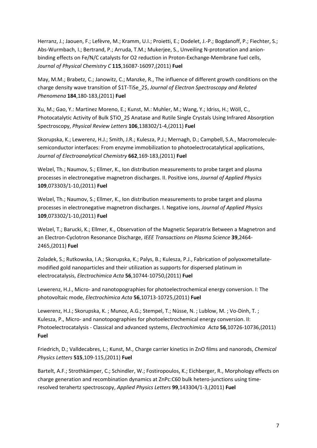Herranz, J.; Jaouen, F.; Lefèvre, M.; Kramm, U.I.; Proietti, E.; Dodelet, J.-P.; Bogdanoff, P.; Fiechter, S.; Abs-Wurmbach, I.; Bertrand, P.; Arruda, T.M.; Mukerjee, S., Unveiling N-protonation and anionbinding effects on Fe/N/C catalysts for O2 reduction in Proton-Exchange-Membrane fuel cells, *Journal of Physical Chemistry C* **115**,16087-16097,(2011) **Fuel**

May, M.M.; Brabetz, C.; Janowitz, C.; Manzke, R., The influence of different growth conditions on the charge density wave transition of \$1T-TiSe\_2\$, *Journal of Electron Spectroscopy and Related Phenomena* **184**,180-183,(2011) **Fuel**

Xu, M.; Gao, Y.: Martinez Moreno, E.; Kunst, M.: Muhler, M.; Wang, Y.; Idriss, H.; Wöll, C., Photocatalytic Activity of Bulk \$TiO\_2\$ Anatase and Rutile Single Crystals Using Infrared Absorption Spectroscopy, *Physical Review Letters* **106**,138302/1-4,(2011) **Fuel**

Skorupska, K.; Lewerenz, H.J.; Smith, J.R.; Kulesza, P.J.; Mernagh, D.; Campbell, S.A., Macromoleculesemiconductor interfaces: From enzyme immobilization to photoelectrocatalytical applications, *Journal of Electroanalytical Chemistry* **662**,169-183,(2011) **Fuel**

Welzel, Th.; Naumov, S.; Ellmer, K., Ion distribution measurements to probe target and plasma processes in electronegative magnetron discharges. II. Positive ions, *Journal of Applied Physics* **109**,073303/1-10,(2011) **Fuel**

Welzel, Th.; Naumov, S.; Ellmer, K., Ion distribution measurements to probe target and plasma processes in electronegative magnetron discharges. I. Negative ions, *Journal of Applied Physics* **109**,073302/1-10,(2011) **Fuel**

Welzel, T.; Barucki, K.; Ellmer, K., Observation of the Magnetic Separatrix Between a Magnetron and an Electron-Cyclotron Resonance Discharge, *IEEE Transactions on Plasma Science* **39**,2464- 2465,(2011) **Fuel**

Zoladek, S.; Rutkowska, I.A.; Skorupska, K.; Palys, B.; Kulesza, P.J., Fabrication of polyoxometallatemodified gold nanoparticles and their utilization as supports for dispersed platinum in electrocatalysis, *Electrochimica Acta* **56**,10744-10750,(2011) **Fuel**

Lewerenz, H.J., Micro- and nanotopographies for photoelectrochemical energy conversion. I: The photovoltaic mode, *Electrochimica Acta* **56**,10713-10725,(2011) **Fuel**

Lewerenz, H.J.; Skorupska, K. ; Munoz, A.G.; Stempel, T.; Nüsse, N. ; Lublow, M. ; Vo-Dinh, T. ; Kulesza, P., Micro- and nanotopographies for photoelectrochemical energy conversion. II: Photoelectrocatalysis - Classical and advanced systems, *Electrochimica Acta* **56**,10726-10736,(2011) **Fuel**

Friedrich, D.; Valldecabres, L.; Kunst, M., Charge carrier kinetics in ZnO films and nanorods, *Chemical Physics Letters* **515**,109-115,(2011) **Fuel**

Bartelt, A.F.; Strothkämper, C.; Schindler, W.; Fostiropoulos, K.; Eichberger, R., Morphology effects on charge generation and recombination dynamics at ZnPc:C60 bulk hetero-junctions using timeresolved terahertz spectroscopy, *Applied Physics Letters* **99**,143304/1-3,(2011) **Fuel**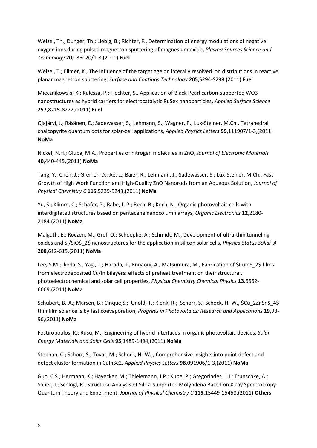Welzel, Th.; Dunger, Th.; Liebig, B.; Richter, F., Determination of energy modulations of negative oxygen ions during pulsed magnetron sputtering of magnesium oxide, *Plasma Sources Science and Technology* **20**,035020/1-8,(2011) **Fuel**

Welzel, T.; Ellmer, K., The influence of the target age on laterally resolved ion distributions in reactive planar magnetron sputtering, *Surface and Coatings Technology* **205**,S294-S298,(2011) **Fuel**

Miecznikowski, K.; Kulesza, P.; Fiechter, S., Application of Black Pearl carbon-supported WO3 nanostructures as hybrid carriers for electrocatalytic RuSex nanoparticles, *Applied Surface Science* **257**,8215-8222,(2011) **Fuel**

Ojajärvi, J.; Räsänen, E.; Sadewasser, S.; Lehmann, S.; Wagner, P.; Lux-Steiner, M.Ch., Tetrahedral chalcopyrite quantum dots for solar-cell applications, *Applied Physics Letters* **99**,111907/1-3,(2011) **NoMa**

Nickel, N.H.; Gluba, M.A., Properties of nitrogen molecules in ZnO, *Journal of Electronic Materials* **40**,440-445,(2011) **NoMa**

Tang, Y.; Chen, J.; Greiner, D.; Aé, L.; Baier, R.; Lehmann, J.; Sadewasser, S.; Lux-Steiner, M.Ch., Fast Growth of High Work Function and High-Quality ZnO Nanorods from an Aqueous Solution, *Journal of Physical Chemistry C* **115**,5239-5243,(2011) **NoMa**

Yu, S.; Klimm, C.; Schäfer, P.; Rabe, J. P.; Rech, B.; Koch, N., Organic photovoltaic cells with interdigitated structures based on pentacene nanocolumn arrays, *Organic Electronics* **12**,2180- 2184,(2011) **NoMa**

Malguth, E.; Roczen, M.; Gref, O.; Schoepke, A.; Schmidt, M., Development of ultra-thin tunneling oxides and Si/SiO\$\_2\$ nanostructures for the application in silicon solar cells, *Physica Status Solidi A* **208**,612-615,(2011) **NoMa**

Lee, S.M.; Ikeda, S.; Yagi, T.; Harada, T.; Ennaoui, A.; Matsumura, M., Fabrication of \$CuInS\_2\$ films from electrodeposited Cu/In bilayers: effects of preheat treatment on their structural, photoelectrochemical and solar cell properties, *Physical Chemistry Chemical Physics* **13**,6662- 6669,(2011) **NoMa**

Schubert, B.-A.; Marsen, B.; Cinque,S.; Unold, T.; Klenk, R.; Schorr, S.; Schock, H.-W., \$Cu\_2ZnSnS\_4\$ thin film solar cells by fast coevaporation, *Progress in Photovoltaics: Research and Applications* **19**,93- 96,(2011) **NoMa**

Fostiropoulos, K.; Rusu, M., Engineering of hybrid interfaces in organic photovoltaic devices, *Solar Energy Materials and Solar Cells* **95**,1489-1494,(2011) **NoMa**

Stephan, C.; Schorr, S.; Tovar, M.; Schock, H.-W.;, Comprehensive insights into point defect and defect cluster formation in CuInSe2, *Applied Physics Letters* **98**,091906/1-3,(2011) **NoMa**

Guo, C.S.; Hermann, K.; Hävecker, M.; Thielemann, J.P.; Kube, P.; Gregoriades, L.J.; Trunschke, A.; Sauer, J.; Schlögl, R., Structural Analysis of Silica-Supported Molybdena Based on X-ray Spectroscopy: Quantum Theory and Experiment, *Journal of Physical Chemistry C* **115**,15449-15458,(2011) **Others**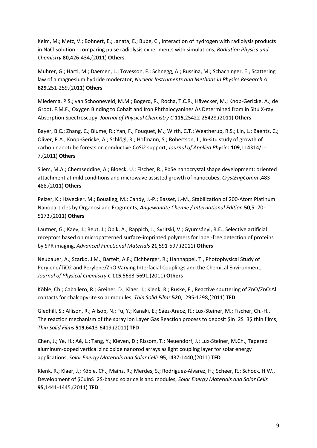Kelm, M.; Metz, V.; Bohnert, E.; Janata, E.; Bube, C., Interaction of hydrogen with radiolysis products in NaCl solution - comparing pulse radiolysis experiments with simulations, *Radiation Physics and Chemistry* **80**,426-434,(2011) **Others**

Muhrer, G.; Hartl, M.; Daemen, L.; Tovesson, F.; Schnegg, A.; Russina, M.; Schachinger, E., Scattering law of a magnesium hydride moderator, *Nuclear Instruments and Methods in Physics Research A* **629**,251-259,(2011) **Others**

Miedema, P.S.; van Schooneveld, M.M.; Bogerd, R.; Rocha, T.C.R.; Hävecker, M.; Knop-Gericke, A.; de Groot, F.M.F., Oxygen Binding to Cobalt and Iron Phthalocyanines As Determined from in Situ X-ray Absorption Spectroscopy, *Journal of Physical Chemistry C* **115**,25422-25428,(2011) **Others**

Bayer, B.C.; Zhang, C.; Blume, R.; Yan, F.; Fouquet, M.; Wirth, C.T.; Weatherup, R.S.; Lin, L.; Baehtz, C.; Oliver, R.A.; Knop-Gericke, A.; Schlögl, R.; Hofmann, S.; Robertson, J., In-situ study of growth of carbon nanotube forests on conductive CoSi2 support, *Journal of Applied Physics* **109**,114314/1- 7,(2011) **Others**

Sliem, M.A.; Chemseddine, A.; Bloeck, U.; Fischer, R., PbSe nanocrystal shape development: oriented attachment at mild conditions and microwave assisted growth of nanocubes, *CrystEngComm* ,483- 488,(2011) **Others**

Pelzer, K.; Hävecker, M.; Boualleg, M.; Candy, J.-P.; Basset, J.-M., Stabilization of 200-Atom Platinum Nanoparticles by Organosilane Fragments, *Angewandte Chemie / International Edition* **50**,5170- 5173,(2011) **Others**

Lautner, G.; Kaev, J.; Reut, J.; Öpik, A.; Rappich, J.; Syritski, V.; Gyurcsányi, R.E., Selective artificial receptors based on micropatterned surface-imprinted polymers for label-free detection of proteins by SPR imaging, *Advanced Functional Materials* **21**,591-597,(2011) **Others**

Neubauer, A.; Szarko, J.M.; Bartelt, A.F.; Eichberger, R.; Hannappel, T., Photophysical Study of Perylene/TiO2 and Perylene/ZnO Varying Interfacial Couplings and the Chemical Environment, *Journal of Physical Chemistry C* **115**,5683-5691,(2011) **Others**

Köble, Ch.; Caballero, R.; Greiner, D.; Klaer, J.; Klenk, R.; Ruske, F., Reactive sputtering of ZnO/ZnO:Al contacts for chalcopyrite solar modules, *Thin Solid Films* **520**,1295-1298,(2011) **TFD**

Gledhill, S.; Allison, R.; Allsop, N.; Fu, Y.; Kanaki, E.; Sáez-Araoz, R.; Lux-Steiner, M.; Fischer, Ch.-H., The reaction mechanism of the spray Ion Layer Gas Reaction process to deposit \$In\_2S\_3\$ thin films, *Thin Solid Films* **519**,6413-6419,(2011) **TFD**

Chen, J.; Ye, H.; Aé, L.; Tang, Y.; Kieven, D.; Rissom, T.; Neuendorf, J.; Lux-Steiner, M.Ch., Tapered aluminum-doped vertical zinc oxide nanorod arrays as light coupling layer for solar energy applications, *Solar Energy Materials and Solar Cells* **95**,1437-1440,(2011) **TFD**

Klenk, R.; Klaer, J.; Köble, Ch.; Mainz, R.; Merdes, S.; Rodriguez-Alvarez, H.; Scheer, R.; Schock, H.W., Development of \$CuInS\_2\$-based solar cells and modules, *Solar Energy Materials and Solar Cells* **95**,1441-1445,(2011) **TFD**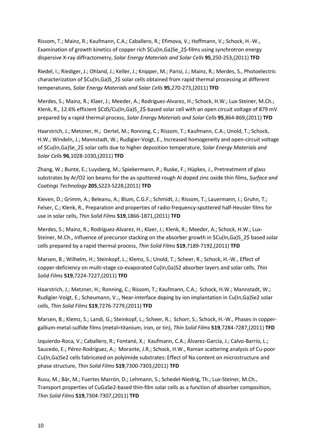Rissom, T.; Mainz, R.; Kaufmann, C.A.; Caballero, R.; Efimova, V.; Hoffmann, V.; Schock, H.-W., Examination of growth kinetics of copper rich \$Cu(In,Ga)Se\_2\$-films using synchrotron energy dispersive X-ray diffractometry, *Solar Energy Materials and Solar Cells* **95**,250-253,(2011) **TFD**

Riedel, I.; Riediger, J.; Ohland, J.; Keller, J.; Knipper, M.; Parisi, J.; Mainz, R.; Merdes, S., Photoelectric characterization of \$Cu(In,Ga)S\_2\$ solar cells obtained from rapid thermal processing at different temperatures, *Solar Energy Materials and Solar Cells* **95**,270-273,(2011) **TFD**

Merdes, S.; Mainz, R.; Klaer, J.; Meeder, A.; Rodriguez-Alvarez, H.; Schock, H.W.; Lux-Steiner, M.Ch.; Klenk, R., 12.6% efficient \$CdS/Cu(In,Ga)S 2\$-based solar cell with an open circuit voltage of 879 mV prepared by a rapid thermal process, *Solar Energy Materials and Solar Cells* **95**,864-869,(2011) **TFD**

Haarstrich, J.; Metzner, H.; Oertel, M.; Ronning, C.; Rissom, T.; Kaufmann, C.A.; Unold, T.; Schock, H.W.; Windeln, J.; Mannstadt, W.; Rudigier-Voigt, E., Increased homogeneity and open-circuit voltage of \$Cu(In,Ga)Se\_2\$ solar cells due to higher deposition temperature, *Solar Energy Materials and Solar Cells* **96**,1028-1030,(2011) **TFD**

Zhang, W.; Bunte, E.; Luysberg, M.; Spiekermann, P.; Ruske, F.; Hüpkes, J., Pretreatment of glass substrates by Ar/O2 ion beams for the as-sputtered rough Al doped zinc oxide thin films, *Surface and Coatings Technology* **205**,S223-S228,(2011) **TFD**

Kieven, D.; Grimm, A.; Beleanu, A.; Blum, C.G.F.; Schmidt, J.; Rissom, T.; Lauermann, I.; Gruhn, T.; Felser, C.; Klenk, R., Preparation and properties of radio-frequency-sputtered half-Heusler films for use in solar cells, *Thin Solid Films* **519**,1866-1871,(2011) **TFD**

Merdes, S.; Mainz, R.; Rodriguez-Alvarez, H.; Klaer, J.; Klenk, R.; Meeder, A.; Schock, H.W.; Lux-Steiner, M.Ch., Influence of precursor stacking on the absorber growth in \$Cu(In,Ga)S 2\$ based solar cells prepared by a rapid thermal process, *Thin Solid Films* **519**,7189-7192,(2011) **TFD**

Marsen, B.; Wilhelm, H.; Steinkopf, L.; Klemz, S.; Unold, T.; Scheer, R.; Schock, H.-W., Effect of copper-deficiency on multi-stage co-evaporated Cu(In,Ga)S2 absorber layers and solar cells, *Thin Solid Films* **519**,7224-7227,(2011) **TFD**

Haarstrich, J.; Metzner, H.; Ronning, C.; Rissom, T.; Kaufmann, C.A.; Schock, H.W.; Mannstadt, W.; Rudigier-Voigt, E.; Scheumann, V.;, Near-interface doping by ion implantation in Cu(In,Ga)Se2 solar cells, *Thin Solid Films* **519**,7276-7279,(2011) **TFD**

Marsen, B.; Klemz, S.; Landi, G.; Steinkopf, L.; Scheer, R.; Schorr, S.; Schock, H.-W., Phases in coppergallium-metal-sulfide films (metal=titanium, iron, or tin), *Thin Solid Films* **519**,7284-7287,(2011) **TFD**

Izquierdo-Roca, V.; Caballero, R.; Fontané, X.; Kaufmann, C.A.; Álvarez-García, J.; Calvo-Barrio, L.; Saucedo, E.; Pérez-Rodríguez, A.; Morante, J.R.; Schock, H.W., Raman scattering analysis of Cu-poor Cu(In,Ga)Se2 cells fabricated on polyimide substrates: Effect of Na content on microstructure and phase structure, *Thin Solid Films* **519**,7300-7303,(2011) **TFD**

Rusu, M.; Bär, M.; Fuertes Marrón, D.; Lehmann, S.; Schedel-Niedrig, Th.; Lux-Steiner, M.Ch., Transport properties of CuGaSe2-based thin-film solar cells as a function of absorber composition, *Thin Solid Films* **519**,7304-7307,(2011) **TFD**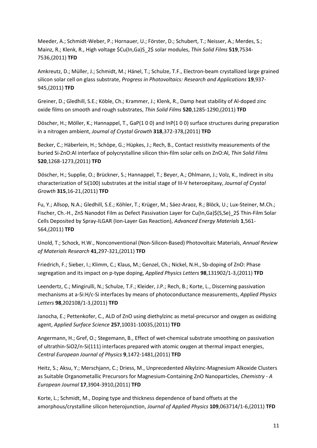Meeder, A.; Schmidt-Weber, P.; Hornauer, U.; Förster, D.; Schubert, T.; Neisser, A.; Merdes, S.; Mainz, R.; Klenk, R., High voltage \$Cu(In,Ga)S\_2\$ solar modules, *Thin Solid Films* **519**,7534- 7536,(2011) **TFD**

Amkreutz, D.; Müller, J.; Schmidt, M.; Hänel, T.; Schulze, T.F., Electron-beam crystallized large grained silicon solar cell on glass substrate, *Progress in Photovoltaics: Research and Applications* **19**,937- 945,(2011) **TFD**

Greiner, D.; Gledhill, S.E.; Köble, Ch.; Krammer, J.; Klenk, R., Damp heat stability of Al-doped zinc oxide films on smooth and rough substrates, *Thin Solid Films* **520**,1285-1290,(2011) **TFD**

Döscher, H.; Möller, K.; Hannappel, T., GaP(1 0 0) and InP(1 0 0) surface structures during preparation in a nitrogen ambient, *Journal of Crystal Growth* **318**,372-378,(2011) **TFD**

Becker, C.; Häberlein, H.; Schöpe, G.; Hüpkes, J.; Rech, B., Contact resistivity measurements of the buried Si-ZnO:Al interface of polycrystalline silicon thin-film solar cells on ZnO:Al, *Thin Solid Films* **520**,1268-1273,(2011) **TFD**

Döscher, H.; Supplie, O.; Brückner, S.; Hannappel, T.; Beyer, A.; Ohlmann, J.; Volz, K., Indirect in situ characterization of Si(100) substrates at the initial stage of III-V heteroepitaxy, *Journal of Crystal Growth* **315**,16-21,(2011) **TFD**

Fu, Y.; Allsop, N.A.; Gledhill, S.E.; Köhler, T.; Krüger, M.; Sáez-Araoz, R.; Blöck, U.; Lux-Steiner, M.Ch.; Fischer, Ch.-H., ZnS Nanodot Film as Defect Passivation Layer for Cu(In,Ga)\$(S,Se)\_2\$ Thin-Film Solar Cells Deposited by Spray-ILGAR (Ion-Layer Gas Reaction), *Advanced Energy Materials* **1**,561- 564,(2011) **TFD**

Unold, T.; Schock, H.W., Nonconventional (Non-Silicon-Based) Photovoltaic Materials, *Annual Review of Materials Research* **41**,297-321,(2011) **TFD**

Friedrich, F.; Sieber, I.; Klimm, C.; Klaus, M.; Genzel, Ch.; Nickel, N.H., Sb-doping of ZnO: Phase segregation and its impact on p-type doping, *Applied Physics Letters* **98**,131902/1-3,(2011) **TFD**

Leendertz, C.; Mingirulli, N.; Schulze, T.F.; Kleider, J.P.; Rech, B.; Korte, L., Discerning passivation mechanisms at a-Si:H/c-Si interfaces by means of photoconductance measurements, *Applied Physics Letters* **98**,202108/1-3,(2011) **TFD**

Janocha, E.; Pettenkofer, C., ALD of ZnO using diethylzinc as metal-precursor and oxygen as oxidizing agent, *Applied Surface Science* **257**,10031-10035,(2011) **TFD**

Angermann, H.; Gref, O.; Stegemann, B., Effect of wet-chemical substrate smoothing on passivation of ultrathin-SiO2/n-Si(111) interfaces prepared with atomic oxygen at thermal impact energies, *Central European Journal of Physics* **9**,1472-1481,(2011) **TFD**

Heitz, S.; Aksu, Y.; Merschjann, C.; Driess, M., Unprecedented Alkylzinc-Magnesium Alkoxide Clusters as Suitable Organometallic Precursors for Magnesium-Containing ZnO Nanoparticles, *Chemistry - A European Journal* **17**,3904-3910,(2011) **TFD**

Korte, L.; Schmidt, M., Doping type and thickness dependence of band offsets at the amorphous/crystalline silicon heterojunction, *Journal of Applied Physics* **109**,063714/1-6,(2011) **TFD**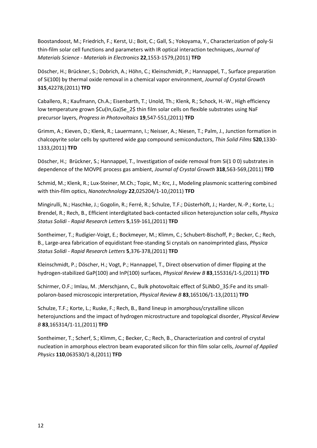Boostandoost, M.; Friedrich, F.; Kerst, U.; Boit, C.; Gall, S.; Yokoyama, Y., Characterization of poly-Si thin-film solar cell functions and parameters with IR optical interaction techniques, *Journal of Materials Science - Materials in Electronics* **22**,1553-1579,(2011) **TFD**

Döscher, H.; Brückner, S.; Dobrich, A.; Höhn, C.; Kleinschmidt, P.; Hannappel, T., Surface preparation of Si(100) by thermal oxide removal in a chemical vapor environment, *Journal of Crystal Growth* **315**,42278,(2011) **TFD**

Caballero, R.; Kaufmann, Ch.A.; Eisenbarth, T.; Unold, Th.; Klenk, R.; Schock, H.-W., High efficiency low temperature grown \$Cu(In,Ga)Se 2\$ thin film solar cells on flexible substrates using NaF precursor layers, *Progress in Photovoltaics* **19**,547-551,(2011) **TFD**

Grimm, A.; Kieven, D.; Klenk, R.; Lauermann, I.; Neisser, A.; Niesen, T.; Palm, J., Junction formation in chalcopyrite solar cells by sputtered wide gap compound semiconductors, *Thin Solid Films* **520**,1330- 1333,(2011) **TFD**

Döscher, H.; Brückner, S.; Hannappel, T., Investigation of oxide removal from Si(1 0 0) substrates in dependence of the MOVPE process gas ambient, *Journal of Crystal Growth* **318**,563-569,(2011) **TFD**

Schmid, M.; Klenk, R.; Lux-Steiner, M.Ch.; Topic, M.; Krc, J., Modeling plasmonic scattering combined with thin-film optics, *Nanotechnology* **22**,025204/1-10,(2011) **TFD**

Mingirulli, N.; Haschke, J.; Gogolin, R.; Ferré, R.; Schulze, T.F.; Düsterhöft, J.; Harder, N.-P.; Korte, L.; Brendel, R.; Rech, B., Efficient interdigitated back-contacted silicon heterojunction solar cells, *Physica Status Solidi - Rapid Research Letters* **5**,159-161,(2011) **TFD**

Sontheimer, T.; Rudigier-Voigt, E.; Bockmeyer, M.; Klimm, C.; Schubert-Bischoff, P.; Becker, C.; Rech, B., Large-area fabrication of equidistant free-standing Si crystals on nanoimprinted glass, *Physica Status Solidi - Rapid Research Letters* **5**,376-378,(2011) **TFD**

Kleinschmidt, P.; Döscher, H.; Vogt, P.; Hannappel, T., Direct observation of dimer flipping at the hydrogen-stabilized GaP(100) and InP(100) surfaces, *Physical Review B* **83**,155316/1-5,(2011) **TFD**

Schirmer, O.F.; Imlau, M. ;Merschjann, C., Bulk photovoltaic effect of \$LiNbO\_3\$:Fe and its smallpolaron-based microscopic interpretation, *Physical Review B* **83**,165106/1-13,(2011) **TFD**

Schulze, T.F.; Korte, L.; Ruske, F.; Rech, B., Band lineup in amorphous/crystalline silicon heterojunctions and the impact of hydrogen microstructure and topological disorder, *Physical Review B* **83**,165314/1-11,(2011) **TFD**

Sontheimer, T.; Scherf, S.; Klimm, C.; Becker, C.; Rech, B., Characterization and control of crystal nucleation in amorphous electron beam evaporated silicon for thin film solar cells, *Journal of Applied Physics* **110**,063530/1-8,(2011) **TFD**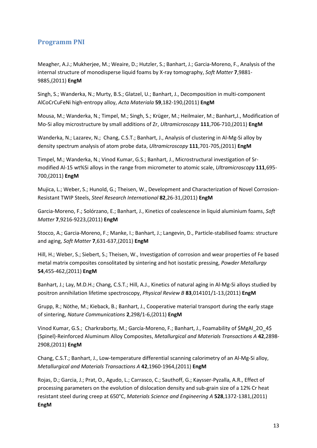#### <span id="page-12-0"></span>**Programm PNI**

Meagher, A.J.; Mukherjee, M.; Weaire, D.; Hutzler, S.; Banhart, J.; Garcia-Moreno, F., Analysis of the internal structure of monodisperse liquid foams by X-ray tomography, *Soft Matter* **7**,9881- 9885,(2011) **EngM**

Singh, S.; Wanderka, N.; Murty, B.S.; Glatzel, U.; Banhart, J., Decomposition in multi-component AlCoCrCuFeNi high-entropy alloy, *Acta Materiala* **59**,182-190,(2011) **EngM**

Mousa, M.; Wanderka, N.; Timpel, M.; Singh, S.; Krüger, M.; Heilmaier, M.; Banhart,J., Modification of Mo-Si alloy microstructure by small additions of Zr, *Ultramicroscopy* **111**,706-710,(2011) **EngM**

Wanderka, N.; Lazarev, N.; Chang, C.S.T.; Banhart, J., Analysis of clustering in Al-Mg-Si alloy by density spectrum analysis of atom probe data, *Ultramicroscopy* **111**,701-705,(2011) **EngM**

Timpel, M.; Wanderka, N.; Vinod Kumar, G.S.; Banhart, J., Microstructural investigation of Srmodified Al-15 wt%Si alloys in the range from micrometer to atomic scale, *Ultramicroscopy* **111**,695- 700,(2011) **EngM**

Mujica, L.; Weber, S.; Hunold, G.; Theisen, W., Development and Characterization of Novel Corrosion-Resistant TWIP Steels, *Steel Research International* **82**,26-31,(2011) **EngM**

Garcia-Moreno, F.; Solórzano, E.; Banhart, J., Kinetics of coalescence in liquid aluminium foams, *Soft Matter* **7**,9216-9223,(2011) **EngM**

Stocco, A.; Garcia-Moreno, F.; Manke, I.; Banhart, J.; Langevin, D., Particle-stabilised foams: structure and aging, *Soft Matter* **7**,631-637,(2011) **EngM**

Hill, H.; Weber, S.; Siebert, S.; Theisen, W., Investigation of corrosion and wear properties of Fe based metal matrix composites consolitated by sintering and hot isostatic pressing, *Powder Metallurgy* **54**,455-462,(2011) **EngM**

Banhart, J.; Lay, M.D.H.; Chang, C.S.T.; Hill, A.J., Kinetics of natural aging in Al-Mg-Si alloys studied by positron annihilation lifetime spectroscopy, *Physical Review B* **83**,014101/1-13,(2011) **EngM**

Grupp, R.; Nöthe, M.; Kieback, B.; Banhart, J., Cooperative material transport during the early stage of sintering, *Nature Communications* **2**,298/1-6,(2011) **EngM**

Vinod Kumar, G.S.; Charkraborty, M.; García-Moreno, F.; Banhart, J., Foamability of \$MgAl\_2O\_4\$ (Spinel)-Reinforced Aluminum Alloy Composites, *Metallurgical and Materials Transactions A* **42**,2898- 2908,(2011) **EngM**

Chang, C.S.T.; Banhart, J., Low-temperature differential scanning calorimetry of an Al-Mg-Si alloy, *Metallurgical and Materials Transactions A* **42**,1960-1964,(2011) **EngM**

Rojas, D.; Garcia, J.; Prat, O., Agudo, L.; Carrasco, C.; Sauthoff, G.; Kaysser-Pyzalla, A.R., Effect of processing parameters on the evolution of dislocation density and sub-grain size of a 12% Cr heat resistant steel during creep at 650°C, *Materials Science and Engineering A* **528**,1372-1381,(2011) **EngM**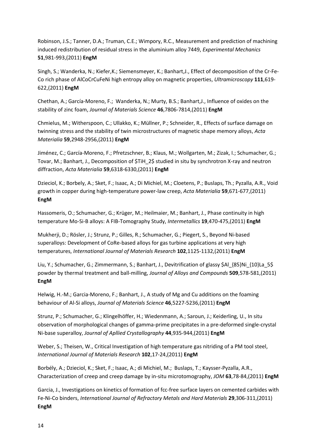Robinson, J.S.; Tanner, D.A.; Truman, C.E.; Wimpory, R.C., Measurement and prediction of machining induced redistribution of residual stress in the aluminium alloy 7449, *Experimental Mechanics* **51**,981-993,(2011) **EngM**

Singh, S.; Wanderka, N.; Kiefer,K.; Siemensmeyer, K.; Banhart,J., Effect of decomposition of the Cr-Fe-Co rich phase of AlCoCrCuFeNi high entropy alloy on magnetic properties, *Ultramicroscopy* **111**,619- 622,(2011) **EngM**

Chethan, A.; García-Moreno, F.; Wanderka, N.; Murty, B.S.; Banhart,J., Influence of oxides on the stability of zinc foam, *Journal of Materials Science* **46**,7806-7814,(2011) **EngM**

Chmielus, M.; Witherspoon, C.; Ullakko, K.; Müllner, P.; Schneider, R., Effects of surface damage on twinning stress and the stability of twin microstructures of magnetic shape memory alloys, *Acta Materialia* **59**,2948-2956,(2011) **EngM**

Jiménez, C.; García-Moreno, F.; Pfretzschner, B.; Klaus, M.; Wollgarten, M.; Zizak, I.; Schumacher, G.; Tovar, M.; Banhart, J., Decomposition of \$TiH\_2\$ studied in situ by synchrotron X-ray and neutron diffraction, *Acta Materialia* **59**,6318-6330,(2011) **EngM**

Dzieciol, K.; Borbely, A.; Sket, F.; Isaac, A.; Di Michiel, M.; Cloetens, P.; Buslaps, Th.; Pyzalla, A.R., Void growth in copper during high-temperature power-law creep, *Acta Materialia* **59**,671-677,(2011) **EngM**

Hassomeris, O.; Schumacher, G.; Krüger, M.; Heilmaier, M.; Banhart, J., Phase continuity in high temperature Mo-Si-B alloys: A FIB-Tomography Study, *Intermetallics* **19**,470-475,(2011) **EngM**

Mukherji, D.; Rösler, J.; Strunz, P.; Gilles, R.; Schumacher, G.; Piegert, S., Beyond Ni-based superalloys: Development of CoRe-based alloys for gas turbine applications at very high temperatures, *International Journal of Materials Research* **102**,1125-1132,(2011) **EngM**

Liu, Y.; Schumacher, G.; Zimmermann, S.; Banhart, J., Devitrification of glassy \$Al\_{85}Ni\_{10}La\_5\$ powder by thermal treatment and ball-milling, *Journal of Alloys and Compounds* **509**,578-581,(2011) **EngM**

Helwig, H.-M.; Garcia-Moreno, F.; Banhart, J., A study of Mg and Cu additions on the foaming behaviour of Al-Si alloys, *Journal of Materials Science* **46**,5227-5236,(2011) **EngM**

Strunz, P.; Schumacher, G.; Klingelhöffer, H.; Wiedenmann, A.; Saroun, J.; Keiderling, U., In situ observation of morphological changes of gamma-prime precipitates in a pre-deformed single-crystal Ni-base superalloy, *Journal of Apllied Crystallography* **44**,935-944,(2011) **EngM**

Weber, S.; Theisen, W., Critical Investigation of high temperature gas nitriding of a PM tool steel, *International Journal of Materials Research* **102**,17-24,(2011) **EngM**

Borbély, A.; Dzieciol, K.; Sket, F.; Isaac, A.; di Michiel, M.; Buslaps, T.; Kaysser-Pyzalla, A.R., Characterization of creep and creep damage by in-situ microtomography, *JOM* **63**,78-84,(2011) **EngM**

Garcia, J., Investigations on kinetics of formation of fcc-free surface layers on cemented carbides with Fe-Ni-Co binders, *International Journal of Refractory Metals and Hard Materials* **29**,306-311,(2011) **EngM**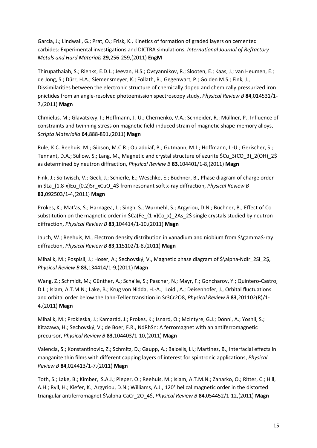Garcia, J.; Lindwall, G.; Prat, O.; Frisk, K., Kinetics of formation of graded layers on cemented carbides: Experimental investigations and DICTRA simulations, *International Journal of Refractory Metals and Hard Materials* **29**,256-259,(2011) **EngM**

Thirupathaiah, S.; Rienks, E.D.L.; Jeevan, H.S.; Ovsyannikov, R.; Slooten, E.; Kaas, J.; van Heumen, E.; de Jong, S.; Dürr, H.A.; Siemensmeyer, K.; Follath, R.; Gegenwart, P.; Golden M.S.; Fink, J., Dissimilarities between the electronic structure of chemically doped and chemically pressurized iron pnictides from an angle-resolved photoemission spectroscopy study, *Physical Review B* **84**,014531/1- 7,(2011) **Magn**

Chmielus, M.; Glavatskyy, I.; Hoffmann, J.-U.; Chernenko, V.A.; Schneider, R.; Müllner, P., Influence of constraints and twinning stress on magnetic field-induced strain of magnetic shape-memory alloys, *Scripta Materialia* **64**,888-891,(2011) **Magn**

Rule, K.C. Reehuis, M.; Gibson, M.C.R.; Ouladdiaf, B.; Gutmann, M.J.; Hoffmann, J.-U.; Gerischer, S.; Tennant, D.A.; Süllow, S.; Lang, M., Magnetic and crystal structure of azurite \$Cu\_3(CO\_3)\_2(OH)\_2\$ as determined by neutron diffraction, *Physical Review B* **83**,104401/1-8,(2011) **Magn**

Fink, J.; Soltwisch, V.; Geck, J.; Schierle, E.; Weschke, E.; Büchner, B., Phase diagram of charge order in \$La\_{1.8-x}Eu\_{0.2}Sr\_xCuO\_4\$ from resonant soft x-ray diffraction, *Physical Review B* **83**,092503/1-4,(2011) **Magn**

Prokes, K.; Mat'as, S.; Harnagea, L.; Singh, S.; Wurmehl, S.; Argyriou, D.N.; Büchner, B., Effect of Co substitution on the magnetic order in  $$Ca(Fe_{1-x}^C)$   $\geq$  2As  $2$$  single crystals studied by neutron diffraction, *Physical Review B* **83**,104414/1-10,(2011) **Magn**

Jauch, W.; Reehuis, M., Electron density distribution in vanadium and niobium from \$\gamma\$-ray diffraction, *Physical Review B* **83**,115102/1-8,(2011) **Magn**

Mihalik, M.; Pospisil, J.; Hoser, A.; Sechovský, V., Magnetic phase diagram of \$\alpha-NdIr\_2Si\_2\$, *Physical Review B* **83**,134414/1-9,(2011) **Magn**

Wang, Z.; Schmidt, M.; Günther, A.; Schaile, S.; Pascher, N.; Mayr, F.; Goncharov, Y.; Quintero-Castro, D.L.; Islam, A.T.M.N.; Lake, B.; Krug von Nidda, H.-A.; Loidl, A.; Deisenhofer, J., Orbital fluctuations and orbital order below the Jahn-Teller transition in Sr3Cr2O8, *Physical Review B* **83**,201102(R)/1- 4,(2011) **Magn**

Mihalik, M.; Prokleska, J.; Kamarád, J.; Prokes, K.; Isnard, O.; McIntyre, G.J.; Dönni, A.; Yoshii, S.; Kitazawa, H.; Sechovský, V.; de Boer, F.R., NdRhSn: A ferromagnet with an antiferromagnetic precursor, *Physical Review B* **83**,104403/1-10,(2011) **Magn**

Valencia, S.; Konstantinovic, Z.; Schmitz, D.; Gaupp, A.; Balcells, LI.; Martinez, B., Interfacial effects in manganite thin films with different capping layers of interest for spintronic applications, *Physical Review B* **84**,024413/1-7,(2011) **Magn**

Toth, S.; Lake, B.; Kimber, S.A.J.; Pieper, O.; Reehuis, M.; Islam, A.T.M.N.; Zaharko, O.; Ritter, C.; Hill, A.H.; Ryll, H.; Kiefer, K.; Argyriou, D.N.; Williams, A.J., 120° helical magnetic order in the distorted triangular antiferromagnet \$\alpha-CaCr\_2O\_4\$, *Physical Review B* **84**,054452/1-12,(2011) **Magn**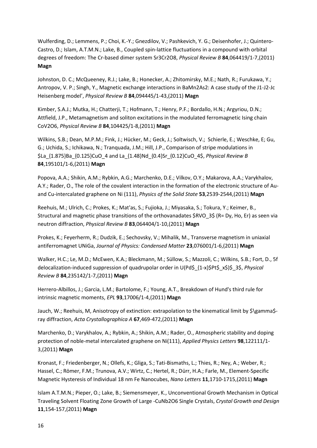Wulferding, D.; Lemmens, P.; Choi, K.-Y.; Gnezdilov, V.; Pashkevich, Y. G.; Deisenhofer, J.; Quintero-Castro, D.; Islam, A.T.M.N.; Lake, B., Coupled spin-lattice fluctuations in a compound with orbital degrees of freedom: The Cr-based dimer system Sr3Cr2O8, *Physical Review B* **84**,064419/1-7,(2011) **Magn**

Johnston, D. C.; McQueeney, R.J.; Lake, B.; Honecker, A.; Zhitomirsky, M.E.; Nath, R.; Furukawa, Y.; Antropov, V. P.; Singh, Y., Magnetic exchange interactions in BaMn2As2: A case study of the J1-J2-Jc Heisenberg model', *Physical Review B* **84**,094445/1-43,(2011) **Magn**

Kimber, S.A.J.; Mutka, H.; Chatterji, T.; Hofmann, T.; Henry, P.F.; Bordallo, H.N.; Argyriou, D.N.; Attfield, J.P., Metamagnetism and soliton excitations in the modulated ferromagnetic Ising chain CoV2O6, *Physical Review B* **84**,104425/1-8,(2011) **Magn**

Wilkins, S.B.; Dean, M.P.M.; Fink, J.; Hücker, M.; Geck, J.; Soltwisch, V.; Schierle, E.; Weschke, E; Gu, G.; Uchida, S.; Ichikawa, N.; Tranquada, J.M.; Hill, J.P., Comparison of stripe modulations in \$La\_{1.875}Ba\_{0.125}CuO\_4 and La\_{1.48}Nd\_{0.4}Sr\_{0.12}CuO\_4\$, *Physical Review B* **84**,195101/1-6,(2011) **Magn**

Popova, A.A.; Shikin, A.M.; Rybkin, A.G.; Marchenko, D.E.; Vilkov, O.Y.; Makarova, A.A.; Varykhalov, A.Y.; Rader, O., The role of the covalent interaction in the formation of the electronic structure of Auand Cu-intercalated graphene on Ni (111), *Physics of the Solid State* **53**,2539-2544,(2011) **Magn**

Reehuis, M.; Ulrich, C.; Prokes, K.; Mat'as, S.; Fujioka, J.; Miyasaka, S.; Tokura, Y.; Keimer, B., Structural and magnetic phase transitions of the orthovanadates \$RVO\_3\$ (R= Dy, Ho, Er) as seen via neutron diffraction, *Physical Review B* **83**,064404/1-10,(2011) **Magn**

Prokes, K.; Feyerherm, R.; Dudzik, E.; Sechovsky, V.; Mihalik, M., Transverse magnetism in uniaxial antiferromagnet UNiGa, *Journal of Physics: Condensed Matter* **23**,076001/1-6,(2011) **Magn**

Walker, H.C.; Le, M.D.; McEwen, K.A.; Bleckmann, M.; Süllow, S.; Mazzoli, C.; Wilkins, S.B.; Fort, D., 5f delocalization-induced suppression of quadrupolar order in U(Pd\$\_{1-x}\$Pt\$\_x\$)\$\_3\$, *Physical Review B* **84**,235142/1-7,(2011) **Magn**

Herrero-Albillos, J.; Garcia, L.M.; Bartolome, F.; Young, A.T., Breakdown of Hund's third rule for intrinsic magnetic moments, *EPL* **93**,17006/1-4,(2011) **Magn**

Jauch, W.; Reehuis, M, Anisotropy of extinction: extrapolation to the kinematical limit by \$\gamma\$ray diffraction, *Acta Crystallographica A* **67**,469-472,(2011) **Magn**

Marchenko, D.; Varykhalov, A.; Rybkin, A.; Shikin, A.M.; Rader, O., Atmospheric stability and doping protection of noble-metal intercalated graphene on Ni(111), *Applied Physics Letters* **98**,122111/1- 3,(2011) **Magn**

Kronast, F.; Friedenberger, N.; Ollefs, K.; Gliga, S.; Tati-Bismaths, L.; Thies, R.; Ney, A.; Weber, R.; Hassel, C.; Römer, F.M.; Trunova, A.V.; Wirtz, C.; Hertel, R.; Dürr, H.A.; Farle, M., Element-Specific Magnetic Hysteresis of Individual 18 nm Fe Nanocubes, *Nano Letters* **11**,1710-1715,(2011) **Magn**

Islam A.T.M.N.; Pieper, O.; Lake, B.; Siemensmeyer, K., Unconventional Growth Mechanism in Optical Traveling Solvent Floating Zone Growth of Large -CuNb2O6 Single Crystals, *Crystal Growth and Design* **11**,154-157,(2011) **Magn**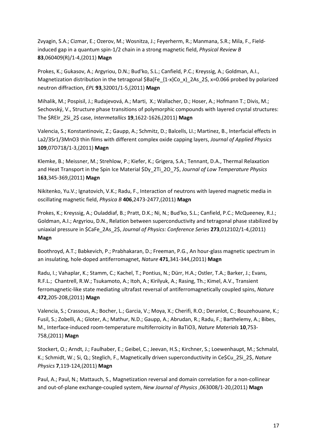Zvyagin, S.A.; Cizmar, E.; Ozerov, M.; Wosnitza, J.; Feyerherm, R.; Manmana, S.R.; Mila, F., Fieldinduced gap in a quantum spin-1/2 chain in a strong magnetic field, *Physical Review B* **83**,060409(R)/1-4,(2011) **Magn**

Prokes, K.; Gukasov, A.; Argyriou, D.N.; Bud'ko, S.L.; Canfield, P.C.; Kreyssig, A.; Goldman, A.I., Magnetization distribution in the tetragonal  $$Ba(Fe_{1-x}CO x)$  2As 2\$, x=0.066 probed by polarized neutron diffraction, *EPL* **93**,32001/1-5,(2011) **Magn**

Mihalik, M.; Pospisil, J.; Rudajevová, A.; Marti, X.; Wallacher, D.; Hoser, A.; Hofmann T.; Divis, M.; Sechovský, V., Structure phase transitions of polymorphic compounds with layered crystal structures: The \$REIr\_2Si\_2\$ case, *Intermetallics* **19**,1622-1626,(2011) **Magn**

Valencia, S.; Konstantinovic, Z.; Gaupp, A.; Schmitz, D.; Balcells, LI.; Martinez, B., Interfacial effects in La2/3Sr1/3MnO3 thin films with different complex oxide capping layers, *Journal of Applied Physics* **109**,07D718/1-3,(2011) **Magn**

Klemke, B.; Meissner, M.; Strehlow, P.; Kiefer, K.; Grigera, S.A.; Tennant, D.A., Thermal Relaxation and Heat Transport in the Spin Ice Material \$Dy\_2Ti\_2O\_7\$, *Journal of Low Temperature Physics* **163**,345-369,(2011) **Magn**

Nikitenko, Yu.V.; Ignatovich, V.K.; Radu, F., Interaction of neutrons with layered magnetic media in oscillating magnetic field, *Physica B* **406**,2473-2477,(2011) **Magn**

Prokes, K.; Kreyssig, A.; Ouladdiaf, B.; Pratt, D.K.; Ni, N.; Bud'ko, S.L.; Canfield, P.C.; McQueeney, R.J.; Goldman, A.I.; Argyriou, D.N., Relation between superconductivity and tetragonal phase stabilized by uniaxial pressure in \$CaFe\_2As\_2\$, *Journal of Physics: Conference Series* **273**,012102/1-4,(2011) **Magn**

Boothroyd, A.T.; Babkevich, P.; Prabhakaran, D.; Freeman, P.G., An hour-glass magnetic spectrum in an insulating, hole-doped antiferromagnet, *Nature* **471**,341-344,(2011) **Magn**

Radu, I.; Vahaplar, K.; Stamm, C.; Kachel, T.; Pontius, N.; Dürr, H.A.; Ostler, T.A.; Barker, J.; Evans, R.F.L.; Chantrell, R.W.; Tsukamoto, A.; Itoh, A.; Kirilyuk, A.; Rasing, Th.; Kimel, A.V., Transient ferromagnetic-like state mediating ultrafast reversal of antiferromagnetically coupled spins, *Nature* **472**,205-208,(2011) **Magn**

Valencia, S.; Crassous, A.; Bocher, L.; Garcia, V.; Moya, X.; Cherifi, R.O.; Deranlot, C.; Bouzehouane, K.; Fusil, S.; Zobelli, A.; Gloter, A.; Mathur, N.D.; Gaupp, A.; Abrudan, R.; Radu, F.; Barthelemy, A.; Bibes, M., Interface-induced room-temperature multiferroicity in BaTiO3, *Nature Materials* **10**,753- 758,(2011) **Magn**

Stockert, O.; Arndt, J.; Faulhaber, E.; Geibel, C.; Jeevan, H.S.; Kirchner, S.; Loewenhaupt, M.; Schmalzl, K.; Schmidt, W.; Si, Q.; Steglich, F., Magnetically driven superconductivity in Ce\$Cu\_2Si\_2\$, *Nature Physics* **7**,119-124,(2011) **Magn**

Paul, A.; Paul, N.; Mattauch, S., Magnetization reversal and domain correlation for a non-collinear and out-of-plane exchange-coupled system, *New Journal of Physics* ,063008/1-20,(2011) **Magn**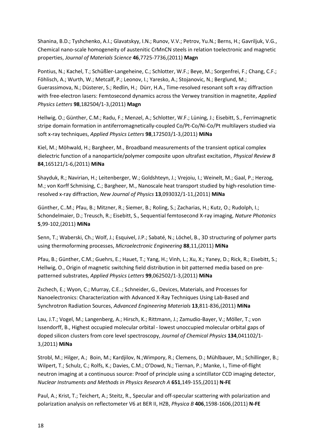Shanina, B.D.; Tyshchenko, A.I.; Glavatskyy, I.N.; Runov, V.V.; Petrov, Yu.N.; Berns, H.; Gavriljuk, V.G., Chemical nano-scale homogeneity of austenitic CrMnCN steels in relation toelectronic and magnetic properties, *Journal of Materials Science* **46**,7725-7736,(2011) **Magn**

Pontius, N.; Kachel, T.; Schüßler-Langeheine, C.; Schlotter, W.F.; Beye, M.; Sorgenfrei, F.; Chang, C.F.; Föhlisch, A.; Wurth, W.; Metcalf, P.; Leonov, I.; Yaresko, A.; Stojanovic, N.; Berglund, M.; Guerassimova, N.; Düsterer, S.; Redlin, H.; Dürr, H.A., Time-resolved resonant soft x-ray diffraction with free-electron lasers: Femtosecond dynamics across the Verwey transition in magnetite, *Applied Physics Letters* **98**,182504/1-3,(2011) **Magn**

Hellwig, O.; Günther, C.M.; Radu, F.; Menzel, A.; Schlotter, W.F.; Lüning, J.; Eisebitt, S., Ferrimagnetic stripe domain formation in antiferromagnetically-coupled Co/Pt-Co/Ni-Co/Pt multilayers studied via soft x-ray techniques, *Applied Physics Letters* **98**,172503/1-3,(2011) **MiNa**

Kiel, M.; Möhwald, H.; Bargheer, M., Broadband measurements of the transient optical complex dielectric function of a nanoparticle/polymer composite upon ultrafast excitation, *Physical Review B* **84**,165121/1-6,(2011) **MiNa**

Shayduk, R.; Navirian, H.; Leitenberger, W.; Goldshteyn, J.; Vrejoiu, I.; Weinelt, M.; Gaal, P.; Herzog, M.; von Korff Schmising, C.; Bargheer, M., Nanoscale heat transport studied by high-resolution timeresolved x-ray diffraction, *New Journal of Physics* **13**,093032/1-11,(2011) **MiNa**

Günther, C..M.; Pfau, B.; Mitzner, R.; Siemer, B.; Roling, S.; Zacharias, H.; Kutz, O.; Rudolph, I.; Schondelmaier, D.; Treusch, R.; Eisebitt, S., Sequential femtosecond X-ray imaging, *Nature Photonics* **5**,99-102,(2011) **MiNa**

Senn, T.; Waberski, Ch.; Wolf, J.; Esquivel, J.P.; Sabaté, N.; Löchel, B., 3D structuring of polymer parts using thermoforming processes, *Microelectronic Engineering* **88**,11,(2011) **MiNa**

Pfau, B.; Günther, C.M.; Guehrs, E.; Hauet, T.; Yang, H.; Vinh, L.; Xu, X.; Yaney, D.; Rick, R.; Eisebitt, S.; Hellwig, O., Origin of magnetic switching field distribution in bit patterned media based on prepatterned substrates, *Applied Physics Letters* **99**,062502/1-3,(2011) **MiNa**

Zschech, E.; Wyon, C.; Murray, C.E..; Schneider, G., Devices, Materials, and Processes for Nanoelectronics: Characterization with Advanced X-Ray Techniques Using Lab-Based and Synchrotron Radiation Sources, *Advanced Engineering Materials* **13**,811-836,(2011) **MiNa**

Lau, J.T.; Vogel, M.; Langenberg, A.; Hirsch, K.; Rittmann, J.; Zamudio-Bayer, V.; Möller, T.; von Issendorff, B., Highest occupied molecular orbital - lowest unoccupied molecular orbital gaps of doped silicon clusters from core level spectroscopy, *Journal of Chemical Physics* **134**,041102/1- 3,(2011) **MiNa**

Strobl, M.; Hilger, A.; Boin, M.; Kardjilov, N.;Wimpory, R.; Clemens, D.; Mühlbauer, M.; Schillinger, B.; Wilpert, T.; Schulz, C.; Rolfs, K.; Davies, C.M.; O'Dowd, N.; Tiernan, P.; Manke, I., Time-of-flight neutron imaging at a continuous source: Proof of principle using a scintillator CCD imaging detector, *Nuclear Instruments and Methods in Physics Research A* **651**,149-155,(2011) **N-FE**

Paul, A.; Krist, T.; Teichert, A.; Steitz, R., Specular and off-specular scattering with polarization and polarization analysis on reflectometer V6 at BER II, HZB, *Physica B* **406**,1598-1606,(2011) **N-FE**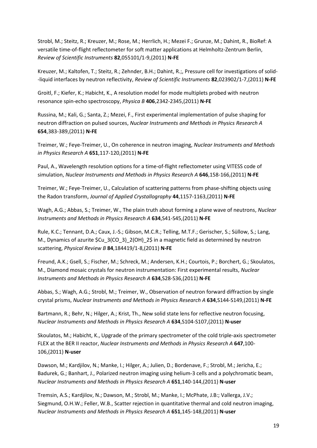Strobl, M.; Steitz, R.; Kreuzer, M.; Rose, M.; Herrlich, H.; Mezei F.; Grunze, M.; Dahint, R., BioRef: A versatile time-of-flight reflectometer for soft matter applications at Helmholtz-Zentrum Berlin, *Review of Scientific Instruments* **82**,055101/1-9,(2011) **N-FE**

Kreuzer, M.; Kaltofen, T.; Steitz, R.; Zehnder, B.H.; Dahint, R.;, Pressure cell for investigations of solid- -liquid interfaces by neutron reflectivity, *Review of Scientific Instruments* **82**,023902/1-7,(2011) **N-FE**

Groitl, F.; Kiefer, K.; Habicht, K., A resolution model for mode multiplets probed with neutron resonance spin-echo spectroscopy, *Physica B* **406**,2342-2345,(2011) **N-FE**

Russina, M.; Kali, G.; Santa, Z.; Mezei, F., First experimental implementation of pulse shaping for neutron diffraction on pulsed sources, *Nuclear Instruments and Methods in Physics Research A* **654**,383-389,(2011) **N-FE**

Treimer, W.; Feye-Treimer, U., On coherence in neutron imaging, *Nuclear Instruments and Methods in Physics Research A* **651**,117-120,(2011) **N-FE**

Paul, A., Wavelength resolution options for a time-of-flight reflectometer using VITESS code of simulation, *Nuclear Instruments and Methods in Physics Research A* **646**,158-166,(2011) **N-FE**

Treimer, W.; Feye-Treimer, U., Calculation of scattering patterns from phase-shifting objects using the Radon transform, *Journal of Applied Crystallography* **44**,1157-1163,(2011) **N-FE**

Wagh, A.G.; Abbas, S.; Treimer, W., The plain truth about forming a plane wave of neutrons, *Nuclear Instruments and Methods in Physics Research A* **634**,S41-S45,(2011) **N-FE**

Rule, K.C.; Tennant, D.A.; Caux, J.-S.; Gibson, M.C.R.; Telling, M.T.F.; Gerischer, S.; Süllow, S.; Lang, M., Dynamics of azurite \$Cu 3(CO 3) 2(OH) 2\$ in a magnetic field as determined by neutron scattering, *Physical Review B* **84**,184419/1-8,(2011) **N-FE**

Freund, A.K.; Gsell, S.; Fischer, M.; Schreck, M.; Andersen, K.H.; Courtois, P.; Borchert, G.; Skoulatos, M., Diamond mosaic crystals for neutron instrumentation: First experimental results, *Nuclear Instruments and Methods in Physics Research A* **634**,S28-S36,(2011) **N-FE**

Abbas, S.; Wagh, A.G.; Strobl, M.; Treimer, W., Observation of neutron forward diffraction by single crystal prisms, *Nuclear Instruments and Methods in Physics Research A* **634**,S144-S149,(2011) **N-FE**

Bartmann, R.; Behr, N.; Hilger, A.; Krist, Th., New solid state lens for reflective neutron focusing, *Nuclear Instruments and Methods in Physics Research A* **634**,S104-S107,(2011) **N-user**

Skoulatos, M.; Habicht, K., Upgrade of the primary spectrometer of the cold triple-axis spectrometer FLEX at the BER II reactor, *Nuclear Instruments and Methods in Physics Research A* **647**,100- 106,(2011) **N-user**

Dawson, M.; Kardjilov, N.; Manke, I.; Hilger, A.; Julien, D.; Bordenave, F.; Strobl, M.; Jericha, E.; Badurek, G.; Banhart, J., Polarized neutron imaging using helium-3 cells and a polychromatic beam, *Nuclear Instruments and Methods in Physics Research A* **651**,140-144,(2011) **N-user**

Tremsin, A.S.; Kardjilov, N.; Dawson, M.; Strobl, M.; Manke, I.; McPhate, J.B:; Vallerga, J.V.; Siegmund, O.H.W.; Feller, W.B., Scatter rejection in quantitative thermal and cold neutron imaging, *Nuclear Instruments and Methods in Physics Research A* **651**,145-148,(2011) **N-user**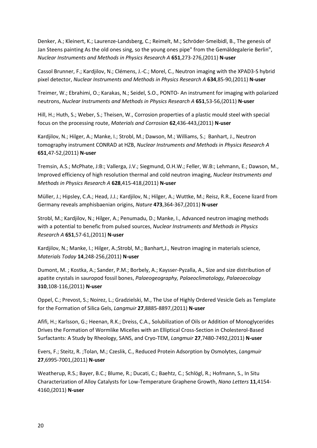Denker, A.; Kleinert, K.; Laurenze-Landsberg, C.; Reimelt, M.; Schröder-Smeibidl, B., The genesis of Jan Steens painting As the old ones sing, so the young ones pipe" from the Gemäldegalerie Berlin", *Nuclear Instruments and Methods in Physics Research A* **651**,273-276,(2011) **N-user**

Cassol Brunner, F.; Kardjilov, N.; Clémens, J.-C.; Morel, C., Neutron imaging with the XPAD3-S hybrid pixel detector, *Nuclear Instruments and Methods in Physics Research A* **634**,85-90,(2011) **N-user**

Treimer, W.; Ebrahimi, O.; Karakas, N.; Seidel, S.O., PONTO- An instrument for imaging with polarized neutrons, *Nuclear Instruments and Methods in Physics Research A* **651**,53-56,(2011) **N-user**

Hill, H.; Huth, S.; Weber, S.; Theisen, W., Corrosion properties of a plastic mould steel with special focus on the processing route, *Materials and Corrosion* **62**,436-443,(2011) **N-user**

Kardjilov, N.; Hilger, A.; Manke, I.; Strobl, M.; Dawson, M.; Williams, S.; Banhart, J., Neutron tomography instrument CONRAD at HZB, *Nuclear Instruments and Methods in Physics Research A* **651**,47-52,(2011) **N-user**

Tremsin, A.S.; McPhate, J:B:; Vallerga, J.V.; Siegmund, O.H.W.; Feller, W.B:; Lehmann, E.; Dawson, M., Improved efficiency of high resolution thermal and cold neutron imaging, *Nuclear Instruments and Methods in Physics Research A* **628**,415-418,(2011) **N-user**

Müller, J.; Hipsley, C.A.; Head, J.J.; Kardjilov, N.; Hilger, A.; Wuttke, M.; Reisz, R.R., Eocene lizard from Germany reveals amphisbaenian origins, *Nature* **473**,364-367,(2011) **N-user**

Strobl, M.; Kardjilov, N.; Hilger, A.; Penumadu, D.; Manke, I., Advanced neutron imaging methods with a potential to benefic from pulsed sources, *Nuclear Instruments and Methods in Physics Research A* **651**,57-61,(2011) **N-user**

Kardjilov, N.; Manke, I.; Hilger, A.;Strobl, M.; Banhart,J., Neutron imaging in materials science, *Materials Today* **14**,248-256,(2011) **N-user**

Dumont, M. ; Kostka, A.; Sander, P.M.; Borbely, A.; Kaysser-Pyzalla, A., Size and size distribution of apatite crystals in sauropod fossil bones, *Palaeogeography, Palaeoclimatology, Palaeoecology* **310**,108-116,(2011) **N-user**

Oppel, C.; Prevost, S.; Noirez, L.; Gradzielski, M., The Use of Highly Ordered Vesicle Gels as Template for the Formation of Silica Gels, *Langmuir* **27**,8885-8897,(2011) **N-user**

Afifi, H.; Karlsson, G.; Heenan, R.K.; Dreiss, C.A., Solubilization of Oils or Addition of Monoglycerides Drives the Formation of Wormlike Micelles with an Elliptical Cross-Section in Cholesterol-Based Surfactants: A Study by Rheology, SANS, and Cryo-TEM, *Langmuir* **27**,7480-7492,(2011) **N-user**

Evers, F.; Steitz, R. ;Tolan, M.; Czeslik, C., Reduced Protein Adsorption by Osmolytes, *Langmuir* **27**,6995-7001,(2011) **N-user**

Weatherup, R.S.; Bayer, B.C.; Blume, R.; Ducati, C.; Baehtz, C.; Schlögl, R.; Hofmann, S., In Situ Characterization of Alloy Catalysts for Low-Temperature Graphene Growth, *Nano Letters* **11**,4154- 4160,(2011) **N-user**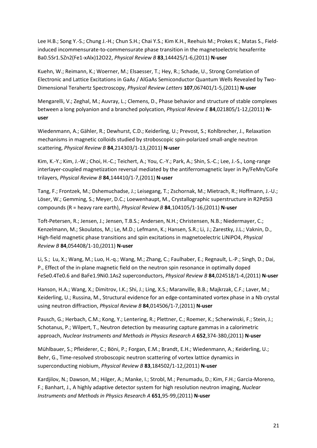Lee H.B.; Song Y.-S.; Chung J.-H.; Chun S.H.; Chai Y.S.; Kim K.H., Reehuis M.; Prokes K.; Matas S., Fieldinduced incommensurate-to-commensurate phase transition in the magnetoelectric hexaferrite Ba0.5Sr1.5Zn2(Fe1-xAlx)12O22, *Physical Review B* **83**,144425/1-6,(2011) **N-user**

Kuehn, W.; Reimann, K.; Woerner, M.; Elsaesser, T.; Hey, R.; Schade, U., Strong Correlation of Electronic and Lattice Excitations in GaAs / AlGaAs Semiconductor Quantum Wells Revealed by Two-Dimensional Terahertz Spectroscopy, *Physical Review Letters* **107**,067401/1-5,(2011) **N-user**

Mengarelli, V.; Zeghal, M.; Auvray, L.; Clemens, D., Phase behavior and structure of stable complexes between a long polyanion and a branched polycation, *Physical Review E* **84**,021805/1-12,(2011) **Nuser**

Wiedenmann, A.; Gähler, R.; Dewhurst, C.D.; Keiderling, U.; Prevost, S.; Kohlbrecher, J., Relaxation mechanisms in magnetic colloids studied by stroboscopic spin-polarized small-angle neutron scattering, *Physical Review B* **84**,214303/1-13,(2011) **N-user**

Kim, K.-Y.; Kim, J.-W.; Choi, H.-C.; Teichert, A.; You, C.-Y.; Park, A.; Shin, S.-C.; Lee, J.-S., Long-range interlayer-coupled magnetization reversal mediated by the antiferromagnetic layer in Py/FeMn/CoFe trilayers, *Physical Review B* **84**,144410/1-7,(2011) **N-user**

Tang, F.; Frontzek, M.; Dshemuchadse, J.; Leisegang, T.; Zschornak, M.; Mietrach, R.; Hoffmann, J.-U.; Löser, W.; Gemming, S.; Meyer, D.C.; Loewenhaupt, M., Crystallographic superstructure in R2PdSi3 compounds (R = heavy rare earth), *Physical Review B* **84**,104105/1-16,(2011) **N-user**

Toft-Petersen, R.; Jensen, J.; Jensen, T.B.S.; Andersen, N.H.; Christensen, N.B.; Niedermayer, C.; Kenzelmann, M.; Skoulatos, M.; Le, M.D.; Lefmann, K.; Hansen, S.R.; Li, J.; Zarestky, J.L.; Vaknin, D., High-field magnetic phase transitions and spin excitations in magnetoelectric LiNiPO4, *Physical Review B* **84**,054408/1-10,(2011) **N-user**

Li, S.; Lu, X.; Wang, M.; Luo, H.-q.; Wang, M.; Zhang, C.; Faulhaber, E.; Regnault, L.-P.; Singh, D.; Dai, P., Effect of the in-plane magnetic field on the neutron spin resonance in optimally doped FeSe0.4Te0.6 and BaFe1.9Ni0.1As2 superconductors, *Physical Review B* **84**,024518/1-4,(2011) **N-user**

Hanson, H.A.; Wang, X.; Dimitrov, I.K.; Shi, J.; Ling, X.S.; Maranville, B.B.; Majkrzak, C.F.; Laver, M.; Keiderling, U.; Russina, M., Structural evidence for an edge-contaminated vortex phase in a Nb crystal using neutron diffraction, *Physical Review B* **84**,014506/1-7,(2011) **N-user**

Pausch, G.; Herbach, C.M.; Kong, Y.; Lentering, R.; Plettner, C.; Roemer, K.; Scherwinski, F.; Stein, J.; Schotanus, P.; Wilpert, T., Neutron detection by measuring capture gammas in a calorimetric approach, *Nuclear Instruments and Methods in Physics Research A* **652**,374-380,(2011) **N-user**

Mühlbauer, S.; Pfleiderer, C.; Böni, P.; Forgan, E.M.; Brandt, E.H.; Wiedenmann, A.; Keiderling, U.; Behr, G., Time-resolved stroboscopic neutron scattering of vortex lattice dynamics in superconducting niobium, *Physical Review B* **83**,184502/1-12,(2011) **N-user**

Kardjilov, N.; Dawson, M.; Hilger, A.; Manke, I.; Strobl, M.; Penumadu, D.; Kim, F.H.; Garcia-Moreno, F.; Banhart, J., A highly adaptive detector system for high resolution neutron imaging, *Nuclear Instruments and Methods in Physics Research A* **651**,95-99,(2011) **N-user**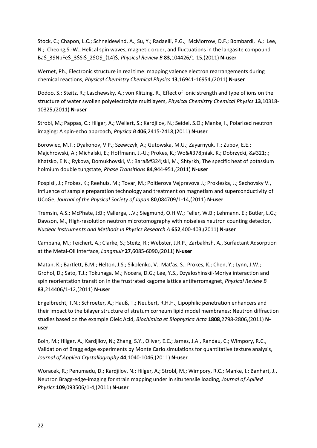Stock, C.; Chapon, L.C.; Schneidewind, A.; Su, Y.; Radaelli, P.G.; McMorrow, D.F.; Bombardi, A.; Lee, N.; Cheong,S.-W., Helical spin waves, magnetic order, and fluctuations in the langasite compound Ba\$\_3\$NbFe\$\_3\$Si\$\_2\$O\$\_{14}\$, *Physical Review B* **83**,104426/1-15,(2011) **N-user**

Wernet, Ph., Electronic structure in real time: mapping valence electron rearrangements during chemical reactions, *Physical Chemistry Chemical Physics* **13**,16941-16954,(2011) **N-user**

Dodoo, S.; Steitz, R.; Laschewsky, A.; von Klitzing, R., Effect of ionic strength and type of ions on the structure of water swollen polyelectrolyte multilayers, *Physical Chemistry Chemical Physics* **13**,10318- 10325,(2011) **N-user**

Strobl, M.; Pappas, C.; Hilger, A.; Wellert, S.; Kardjilov, N.; Seidel, S.O.; Manke, I., Polarized neutron imaging: A spin-echo approach, *Physica B* **406**,2415-2418,(2011) **N-user**

Borowiec, M.T.; Dyakonov, V.P.; Szewczyk, A.; Gutowska, M.U.; Zayarnyuk, T.; Zubov, E.E.; Majchrowski, A.; Michalski, E.; Hoffmann, J.-U.; Prokes, K.; Woźniak, K.; Dobrzycki, Ł.; Khatsko, E.N.; Rykova, Domukhovski, V.; Barański, M.; Shtyrkh, The specific heat of potassium holmium double tungstate, *Phase Transitions* **84**,944-951,(2011) **N-user**

Pospisil, J.; Prokes, K.; Reehuis, M.; Tovar, M.; Poltierova Vejpravova J.; Prokleska, J.; Sechovsky V., Influence of sample preparation technology and treatment on magnetism and superconductivity of UCoGe, *Journal of the Physical Society of Japan* **80**,084709/1-14,(2011) **N-user**

Tremsin, A.S.; McPhate, J:B:; Vallerga, J.V.; Siegmund, O.H.W.; Feller, W.B:; Lehmann, E.; Butler, L.G.; Dawson, M., High-resolution neutron microtomography with noiseless neutron counting detector, *Nuclear Instruments and Methods in Physics Research A* **652**,400-403,(2011) **N-user**

Campana, M.; Teichert, A.; Clarke, S.; Steitz, R.; Webster, J.R.P.; Zarbakhsh, A., Surfactant Adsorption at the Metal-Oil Interface, *Langmuir* **27**,6085-6090,(2011) **N-user**

Matan, K.; Bartlett, B.M.; Helton, J.S.; Sikolenko, V.; Mat'as, S.; Prokes, K.; Chen, Y.; Lynn, J.W.; Grohol, D.; Sato, T.J.; Tokunaga, M.; Nocera, D.G.; Lee, Y.S., Dzyaloshinskii-Moriya interaction and spin reorientation transition in the frustrated kagome lattice antiferromagnet, *Physical Review B* **83**,214406/1-12,(2011) **N-user**

Engelbrecht, T.N.; Schroeter, A.; Hauß, T.; Neubert, R.H.H., Lipophilic penetration enhancers and their impact to the bilayer structure of stratum corneum lipid model membranes: Neutron diffraction studies based on the example Oleic Acid, *Biochimica et Biophysica Acta* **1808**,2798-2806,(2011) **Nuser**

Boin, M.; Hilger, A.; Kardjilov, N.; Zhang, S.Y., Oliver, E.C.; James, J.A., Randau, C.; Wimpory, R.C., Validation of Bragg edge experiments by Monte Carlo simulations for quantitative texture analysis, *Journal of Applied Crystallography* **44**,1040-1046,(2011) **N-user**

Woracek, R.; Penumadu, D.; Kardjilov, N.; Hilger, A.; Strobl, M.; Wimpory, R.C.; Manke, I.; Banhart, J., Neutron Bragg-edge-imaging for strain mapping under in situ tensile loading, *Journal of Apllied Physics* **109**,093506/1-4,(2011) **N-user**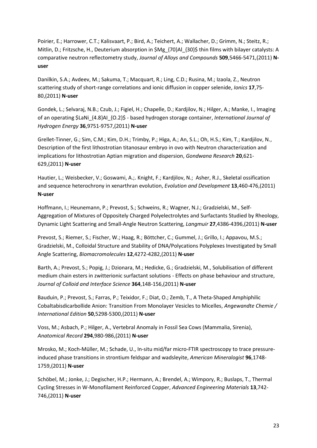Poirier, E.; Harrower, C.T.; Kalisvaart, P.; Bird, A.; Teichert, A.; Wallacher, D.; Grimm, N.; Steitz, R.; Mitlin, D.; Fritzsche, H., Deuterium absorption in \$Mg\_{70}Al\_{30}\$ thin films with bilayer catalysts: A comparative neutron reflectometry study, *Journal of Alloys and Compounds* **509**,5466-5471,(2011) **Nuser**

Danilkin, S.A.; Avdeev, M.; Sakuma, T.; Macquart, R.; Ling, C.D.; Rusina, M.; Izaola, Z., Neutron scattering study of short-range correlations and ionic diffusion in copper selenide, *Ionics* **17**,75- 80,(2011) **N-user**

Gondek, L.; Selvaraj, N.B.; Czub, J.; Figiel, H.; Chapelle, D.; Kardjilov, N.; Hilger, A.; Manke, I., Imaging of an operating \$LaNi\_{4.8}AI\_{O.2}\$ - based hydrogen storage container, *International Journal of Hydrogen Energy* **36**,9751-9757,(2011) **N-user**

Grellet-Tinner, G.; Sim, C.M.; Kim, D.H.; Trimby, P.; Higa, A.; An, S.L.; Oh, H.S.; Kim, T.; Kardjilov, N., Description of the first lithostrotian titanosaur embryo in ovo with Neutron characterization and implications for lithostrotian Aptian migration and dispersion, *Gondwana Research* **20**,621- 629,(2011) **N-user**

Hautier, L.; Weisbecker, V.; Goswami, A.;. Knight, F.; Kardjilov, N.; Asher, R.J., Skeletal ossification and sequence heterochrony in xenarthran evolution, *Evolution and Development* **13**,460-476,(2011) **N-user**

Hoffmann, I.; Heunemann, P.; Prevost, S.; Schweins, R.; Wagner, N.J.; Gradzielski, M., Self-Aggregation of Mixtures of Oppositely Charged Polyelectrolytes and Surfactants Studied by Rheology, Dynamic Light Scattering and Small-Angle Neutron Scattering, *Langmuir* **27**,4386-4396,(2011) **N-user**

Prevost, S.; Riemer, S.; Fischer, W.; Haag, R.; Böttcher, C.; Gummel, J.; Grillo, I.; Appavou, M.S.; Gradzielski, M., Colloidal Structure and Stability of DNA/Polycations Polyplexes Investigated by Small Angle Scattering, *Biomacromolecules* **12**,4272-4282,(2011) **N-user**

Barth, A.; Prevost, S.; Popig, J.; Dzionara, M.; Hedicke, G.; Gradzielski, M., Solubilisation of different medium chain esters in zwitterionic surfactant solutions - Effects on phase behaviour and structure, *Journal of Colloid and Interface Science* **364**,148-156,(2011) **N-user**

Bauduin, P.; Prevost, S.; Farras, P.; Teixidor, F.; Diat, O.; Zemb, T., A Theta-Shaped Amphiphilic Cobaltabisdicarbollide Anion: Transition From Monolayer Vesicles to Micelles, *Angewandte Chemie / International Edition* **50**,5298-5300,(2011) **N-user**

Voss, M.; Asbach, P.; Hilger, A., Vertebral Anomaly in Fossil Sea Cows (Mammalia, Sirenia), *Anatomical Record* **294**,980-986,(2011) **N-user**

Mrosko, M.; Koch-Müller, M.; Schade, U., In-situ mid/far micro-FTIR spectroscopy to trace pressureinduced phase transitions in strontium feldspar and wadsleyite, *American Mineralogist* **96**,1748- 1759,(2011) **N-user**

Schöbel, M.; Jonke, J.; Degischer, H.P.; Hermann, A.; Brendel, A.; Wimpory, R.; Buslaps, T., Thermal Cycling Stresses in W-Monofilament Reinforced Copper, *Advanced Engineering Materials* **13**,742- 746,(2011) **N-user**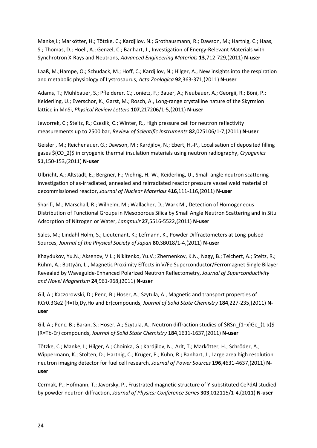Manke,I.; Markötter, H.; Tötzke, C.; Kardjilov, N.; Grothausmann, R.; Dawson, M.; Hartnig, C.; Haas, S.; Thomas, D.; Hoell, A.; Genzel, C.; Banhart, J., Investigation of Energy-Relevant Materials with Synchrotron X-Rays and Neutrons, *Advanced Engineering Materials* **13**,712-729,(2011) **N-user**

Laaß, M.;Hampe, O.; Schudack, M.; Hoff, C.; Kardjilov, N.; Hilger, A., New insights into the respiration and metabolic physiology of Lystrosaurus, *Acta Zoologica* **92**,363-371,(2011) **N-user**

Adams, T.; Mühlbauer, S.; Pfleiderer, C.; Jonietz, F.; Bauer, A.; Neubauer, A.; Georgii, R.; Böni, P.; Keiderling, U.; Everschor, K.; Garst, M.; Rosch, A., Long-range crystalline nature of the Skyrmion lattice in MnSi, *Physical Review Letters* **107**,217206/1-5,(2011) **N-user**

Jeworrek, C.; Steitz, R.; Czeslik, C.; Winter, R., High pressure cell for neutron reflectivity measurements up to 2500 bar, *Review of Scientific Instruments* **82**,025106/1-7,(2011) **N-user**

Geisler , M.; Reichenauer, G.; Dawson, M.; Kardjilov, N.; Ebert, H.-P., Localisation of deposited filling gases \$(CO\_2)\$ in cryogenic thermal insulation materials using neutron radiography, *Cryogenics* **51**,150-153,(2011) **N-user**

Ulbricht, A.; Altstadt, E.; Bergner, F.; Viehrig, H.-W.; Keiderling, U., Small-angle neutron scattering investigation of as-irradiated, annealed and reirradiated reactor pressure vessel weld material of decommissioned reactor, *Journal of Nuclear Materials* **416**,111-116,(2011) **N-user**

Sharifi, M.; Marschall, R.; Wilhelm, M.; Wallacher, D.; Wark M., Detection of Homogeneous Distribution of Functional Groups in Mesoporous Silica by Small Angle Neutron Scattering and in Situ Adsorption of Nitrogen or Water, *Langmuir* **27**,5516-5522,(2011) **N-user**

Sales, M.; Lindahl Holm, S.; Lieutenant, K.; Lefmann, K., Powder Diffractometers at Long-pulsed Sources, *Journal of the Physical Society of Japan* **80**,SB018/1-4,(2011) **N-user**

Khaydukov, Yu.N.; Aksenov, V.L.; Nikitenko, Yu.V.; Zhernenkov, K.N.; Nagy, B.; Teichert, A.; Steitz, R.; Rühm, A.; Bottyán, L., Magnetic Proximity Effects in V/Fe Superconductor/Ferromagnet Single Bilayer Revealed by Waveguide-Enhanced Polarized Neutron Reflectometry, *Journal of Superconductivity and Novel Magnetism* **24**,961-968,(2011) **N-user**

Gil, A.; Kaczorowski, D.; Penc, B.; Hoser, A.; Szytula, A., Magnetic and transport properties of RCr0.3Ge2 (R=Tb,Dy,Ho and Er)compounds, *Journal of Solid State Chemistry* **184**,227-235,(2011) **Nuser**

Gil, A.; Penc, B.; Baran, S.; Hoser, A.; Szytula, A., Neutron diffraction studies of \$RSn\_{1+x}Ge\_{1-x}\$ (R=Tb-Er) compounds, *Journal of Solid State Chemistry* **184**,1631-1637,(2011) **N-user**

Tötzke, C.; Manke, I.; Hilger, A.; Choinka, G.; Kardjilov, N.; Arlt, T.; Markötter, H.; Schröder, A.; Wippermann, K.; Stolten, D.; Hartnig, C.; Krüger, P.; Kuhn, R.; Banhart, J., Large area high resolution neutron imaging detector for fuel cell research, *Journal of Power Sources* **196**,4631-4637,(2011) **Nuser**

Cermak, P.; Hofmann, T.; Javorsky, P., Frustrated magnetic structure of Y-substituted CePdAl studied by powder neutron diffraction, *Journal of Physics: Conference Series* **303**,012115/1-4,(2011) **N-user**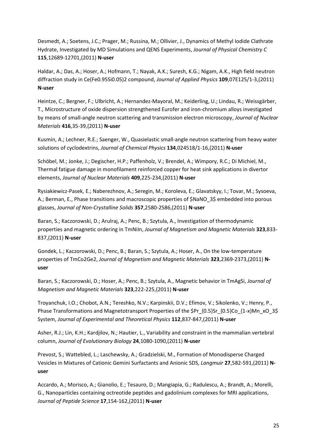Desmedt, A.; Soetens, J.C.; Prager, M.; Russina, M.; Ollivier, J., Dynamics of Methyl Iodide Clathrate Hydrate, Investigated by MD Simulations and QENS Experiments, *Journal of Physical Chemistry C* **115**,12689-12701,(2011) **N-user**

Haldar, A.; Das, A.; Hoser, A.; Hofmann, T.; Nayak, A.K.; Suresh, K.G.; Nigam, A.K., High field neutron diffraction study in Ce(Fe0.95Si0.05)2 compound, *Journal of Applied Physics* **109**,07E125/1-3,(2011) **N-user**

Heintze, C.; Bergner, F.; Ulbricht, A.; Hernandez-Mayoral, M.; Keiderling, U.; Lindau, R.; Weissgärber, T., Microstructure of oxide dispersion strengthened Eurofer and iron-chromium alloys investigated by means of small-angle neutron scattering and transmission electron microscopy, *Journal of Nuclear Materials* **416**,35-39,(2011) **N-user**

Kusmin, A.; Lechner, R.E.; Saenger, W., Quasielastic small-angle neutron scattering from heavy water solutions of cyclodextrins, *Journal of Chemical Physics* **134**,024518/1-16,(2011) **N-user**

Schöbel, M.; Jonke, J.; Degischer, H.P.; Paffenholz, V.; Brendel, A.; Wimpory, R.C.; Di Michiel, M., Thermal fatigue damage in monofilament reinforced copper for heat sink applications in divertor elements, *Journal of Nuclear Materials* **409**,225-234,(2011) **N-user**

Rysiakiewicz-Pasek, E.; Naberezhnov, A.; Seregin, M.; Koroleva, E.; Glavatskyy, I.; Tovar, M.; Sysoeva, A.; Berman, E., Phase transitions and macroscopic properties of \$NaNO\_3\$ embedded into porous glasses, *Journal of Non-Crystalline Solids* **357**,2580-2586,(2011) **N-user**

Baran, S.; Kaczorowski, D.; Arulraj, A.; Penc, B.; Szytula, A., Investigation of thermodynamic properties and magnetic ordering in TmNiIn, *Journal of Magnetism and Magnetic Materials* **323**,833- 837,(2011) **N-user**

Gondek, L.; Kaczorowski, D.; Penc, B.; Baran, S.; Szytula, A.; Hoser, A., On the low-temperature properties of TmCo2Ge2, *Journal of Magnetism and Magnetic Materials* **323**,2369-2373,(2011) **Nuser**

Baran, S.; Kaczorowski, D.; Hoser, A.; Penc, B.; Szytula, A., Magnetic behavior in TmAgSi, *Journal of Magnetism and Magnetic Materials* **323**,222-225,(2011) **N-user**

Troyanchuk, I.O.; Chobot, A.N.; Tereshko, N.V.; Karpinskii, D.V.; Efimov, V.; Sikolenko, V.; Henry, P., Phase Transformations and Magnetotransport Properties of the \$Pr\_{0.5}Sr\_{0.5}Co\_{1-x}Mn\_xO\_3\$ System, *Journal of Experimental and Theoretical Physics* **112**,837-847,(2011) **N-user**

Asher, R.J.; Lin, K.H.; Kardjilov, N.; Hautier, L., Variability and constraint in the mammalian vertebral column, *Journal of Evolutionary Biology* **24**,1080-1090,(2011) **N-user**

Prevost, S.; Wattebled, L.; Laschewsky, A.; Gradzielski, M., Formation of Monodisperse Charged Vesicles in Mixtures of Cationic Gemini Surfactants and Anionic SDS, *Langmuir* **27**,582-591,(2011) **Nuser**

Accardo, A.; Morisco, A.; Gianolio, E.; Tesauro, D.; Mangiapia, G.; Radulescu, A.; Brandt, A.; Morelli, G., Nanoparticles containing octreotide peptides and gadolinium complexes for MRI applications, *Journal of Peptide Science* **17**,154-162,(2011) **N-user**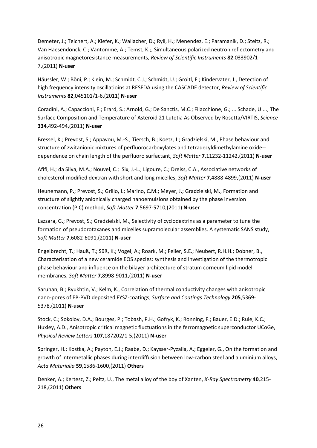Demeter, J.; Teichert, A.; Kiefer, K.; Wallacher, D.; Ryll, H.; Menendez, E.; Paramanik, D.; Steitz, R.; Van Haesendonck, C.; Vantomme, A.; Temst, K.;, Simultaneous polarized neutron reflectometry and anisotropic magnetoresistance measurements, *Review of Scientific Instruments* **82**,033902/1- 7,(2011) **N-user**

Häussler, W.; Böni, P.; Klein, M.; Schmidt, C.J.; Schmidt, U.; Groitl, F.; Kindervater, J., Detection of high frequency intensity oscillatioins at RESEDA using the CASCADE detector, *Review of Scientific Instruments* **82**,045101/1-6,(2011) **N-user**

Coradini, A.; Capaccioni, F.; Erard, S.; Arnold, G.; De Sanctis, M.C.; Filacchione, G.; ... Schade, U...., The Surface Composition and Temperature of Asteroid 21 Lutetia As Observed by Rosetta/VIRTIS, *Science* **334**,492-494,(2011) **N-user**

Bressel, K.; Prevost, S.; Appavou, M.-S.; Tiersch, B.; Koetz, J.; Gradzielski, M., Phase behaviour and structure of zwitanionic mixtures of perfluorocarboxylates and tetradecyldimethylamine oxide- dependence on chain length of the perfluoro surfactant, *Soft Matter* **7**,11232-11242,(2011) **N-user**

Afifi, H.; da Silva, M.A.; Nouvel, C.; Six, J.-L.; Ligoure, C.; Dreiss, C.A., Associative networks of cholesterol-modified dextran with short and long micelles, *Soft Matter* **7**,4888-4899,(2011) **N-user**

Heunemann, P.; Prevost, S.; Grillo, I.; Marino, C.M.; Meyer, J.; Gradzielski, M., Formation and structure of slightly anionically charged nanoemulsions obtained by the phase inversion concentration (PIC) method, *Soft Matter* **7**,5697-5710,(2011) **N-user**

Lazzara, G.; Prevost, S.; Gradzielski, M., Selectivity of cyclodextrins as a parameter to tune the formation of pseudorotaxanes and micelles supramolecular assemblies. A systematic SANS study, *Soft Matter* **7**,6082-6091,(2011) **N-user**

Engelbrecht, T.; Hauß, T.; Süß, K.; Vogel, A.; Roark, M.; Feller, S.E.; Neubert, R.H.H.; Dobner, B., Characterisation of a new ceramide EOS species: synthesis and investigation of the thermotropic phase behaviour and influence on the bilayer architecture of stratum corneum lipid model membranes, *Soft Matter* **7**,8998-9011,(2011) **N-user**

Saruhan, B.; Ryukhtin, V.; Kelm, K., Correlation of thermal conductivity changes with anisotropic nano-pores of EB-PVD deposited FYSZ-coatings, *Surface and Coatings Technology* **205**,5369- 5378,(2011) **N-user**

Stock, C.; Sokolov, D.A.; Bourges, P.; Tobash, P.H.; Gofryk, K.; Ronning, F.; Bauer, E.D.; Rule, K.C.; Huxley, A.D., Anisotropic critical magnetic fluctuations in the ferromagnetic superconductor UCoGe, *Physical Review Letters* **107**,187202/1-5,(2011) **N-user**

Springer, H.; Kostka, A.; Payton, E.J.; Raabe, D.; Kaysser-Pyzalla, A.; Eggeler, G., On the formation and growth of intermetallic phases during interdiffusion between low-carbon steel and aluminium alloys, *Acta Materialia* **59**,1586-1600,(2011) **Others**

Denker, A.; Kertesz, Z.; Peltz, U., The metal alloy of the boy of Xanten, *X-Ray Spectrometry* **40**,215- 218,(2011) **Others**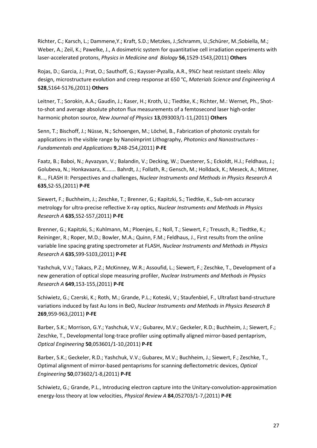Richter, C.; Karsch, L.; Dammene,Y.; Kraft, S.D.; Metzkes, J.;Schramm, U.;Schürer, M.;Sobiella, M.; Weber, A.; Zeil, K.; Pawelke, J., A dosimetric system for quantitative cell irradiation experiments with laser-accelerated protons, *Physics in Medicine and Biology* **56**,1529-1543,(2011) **Others**

Rojas, D.; Garcia, J.; Prat, O.; Sauthoff, G.; Kaysser-Pyzalla, A.R., 9%Cr heat resistant steels: Alloy design, microstructure evolution and creep response at 650 °C, *Materials Science and Engineering A* **528**,5164-5176,(2011) **Others**

Leitner, T.; Sorokin, A.A.; Gaudin, J.; Kaser, H.; Kroth, U.; Tiedtke, K.; Richter, M.: Wernet, Ph., Shotto-shot and average absolute photon flux measurements of a femtosecond laser high-order harmonic photon source, *New Journal of Physics* **13**,093003/1-11,(2011) **Others**

Senn, T.; Bischoff, J.; Nüsse, N.; Schoengen, M.; Löchel, B., Fabrication of photonic crystals for applications in the visible range by Nanoimprint Lithography, *Photonics and Nanostructures - Fundamentals and Applications* **9**,248-254,(2011) **P-FE**

Faatz, B.; Baboi, N.; Ayvazyan, V.; Balandin, V.; Decking, W.; Duesterer, S.; Eckoldt, H.J.; Feldhaus, J.; Golubeva, N.; Honkavaara, K....... Bahrdt, J.; Follath, R.; Gensch, M.; Holldack, K.; Meseck, A.; Mitzner, R..., FLASH II: Perspectives and challenges, *Nuclear Instruments and Methods in Physics Research A* **635**,S2-S5,(2011) **P-FE**

Siewert, F.; Buchheim, J.; Zeschke, T.; Brenner, G.; Kapitzki, S.; Tiedtke, K., Sub-nm accuracy metrology for ultra-precise reflective X-ray optics, *Nuclear Instruments and Methods in Physics Research A* **635**,S52-S57,(2011) **P-FE**

Brenner, G.; Kapitzki, S.; Kuhlmann, M.; Ploenjes, E.; Noll, T.; Siewert, F.; Treusch, R.; Tiedtke, K.; Reininger, R.; Roper, M.D.; Bowler, M.A.; Quinn, F.M.; Feldhaus, J., First results from the online variable line spacing grating spectrometer at FLASH, *Nuclear Instruments and Methods in Physics Research A* **635**,S99-S103,(2011) **P-FE**

Yashchuk, V.V.; Takacs, P.Z.; McKinney, W.R.; Assoufid, L.; Siewert, F.; Zeschke, T., Development of a new generation of optical slope measuring profiler, *Nuclear Instruments and Methods in Physics Research A* **649**,153-155,(2011) **P-FE**

Schiwietz, G.; Czerski, K.; Roth, M.; Grande, P.L.; Koteski, V.; Staufenbiel, F., Ultrafast band-structure variations induced by fast Au Ions in BeO, *Nuclear Instruments and Methods in Physics Research B* **269**,959-963,(2011) **P-FE**

Barber, S.K.; Morrison, G.Y.; Yashchuk, V.V.; Gubarev, M.V.; Geckeler, R.D.; Buchheim, J.; Siewert, F.; Zeschke, T., Developmental long-trace profiler using optimally aligned mirror-based pentaprism, *Optical Engineering* **50**,053601/1-10,(2011) **P-FE**

Barber, S.K.; Geckeler, R.D.; Yashchuk, V.V.; Gubarev, M.V.; Buchheim, J.; Siewert, F.; Zeschke, T., Optimal alignment of mirror-based pentaprisms for scanning deflectometric devices, *Optical Engineering* **50**,073602/1-8,(2011) **P-FE**

Schiwietz, G.; Grande, P.L., Introducing electron capture into the Unitary-convolution-approximation energy-loss theory at low velocities, *Physical Review A* **84**,052703/1-7,(2011) **P-FE**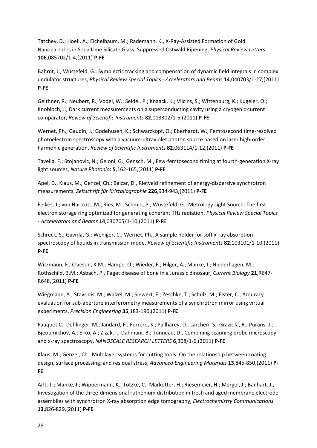Tatchev, D.; Hoell, A.; Eichelbaum, M.; Rademann, K., X-Ray-Assisted Formation of Gold Nanoparticles in Soda Lime Silicate Glass: Suppressed Ostwald Ripening, *Physical Review Letters* **106**,085702/1-4,(2011) **P-FE**

Bahrdt, J.; Wüstefeld, G., Symplectic tracking and compensation of dynamic field integrals in complex undulator structures, *Physical Review Special Topics - Accelerators and Beams* **14**,040703/1-27,(2011) **P-FE**

Geithner, R.; Neubert, R.; Vodel, W.; Seidel, P.; Knaack, K.; Vilcins, S.; Wittenburg, K.; Kugeler, O.; Knobloch, J., Dark current measurements on a superconducting cavity using a cryogenic current comparator, *Review of Scientific Instruments* **82**,013302/1-5,(2011) **P-FE**

Wernet, Ph.; Gaudin, J.; Godehusen, K.; Schwarzkopf, O.; Eberhardt, W., Femtosecond time-resolved photoelectron spectroscopy with a vacuum-ultraviolet photon source based on laser high-order harmonic generation, *Review of Scientific Instruments* **82**,063114/1-12,(2011) **P-FE**

Tavella, F.; Stojanovic, N.; Geloni, G.; Gensch, M., Few-femtosecond timing at fourth-generation X-ray light sources, *Nature Photonics* **5**,162-165,(2011) **P-FE**

Apel, D.; Klaus, M.; Genzel, Ch.; Balzar, D., Rietveld refinement of energy-dispersive synchrotron measurements, *Zeitschrift für Kristallographie* **226**,934-943,(2011) **P-FE**

Feikes, J.; von Hartrott, M.; Ries, M.; Schmid, P.; Wüstefeld, G., Metrology Light Source: The first electron storage ring optimized for generating coherent THz radiation, *Physical Review Special Topics - Accelerators and Beams* **14**,030705/1-10,(2011) **P-FE**

Schreck, S.; Gavrila, G.; Weniger, C.; Wernet, Ph., A sample holder for soft x-ray absorption spectroscopy of liquids in transmission mode, *Review of Scientific Instruments* **82**,103101/1-10,(2011) **P-FE**

Witzmann, F.; Claeson, K.M.; Hampe, O.; Wieder, F.; Hilger, A.; Manke, I.; Niederhagen, M.; Rothschild, B.M.; Asbach, P., Paget disease of bone in a Jurassic dinosaur, *Current Biology* **21**,R647- R648,(2011) **P-FE**

Wiegmann, A.; Stavridis, M.; Walzel, M.; Siewert, F.; Zeschke, T.; Schulz, M.; Elster, C., Accuracy evaluation for sub-aperture interferometry measurements of a synchrotron mirror using virtual experiments, *Precision Engineering* **35**,183-190,(2011) **P-FE**

Fauquet C.; Dehlinger, M.; Jandard, F.; Ferrero, S.; Pailharey, D.; Larcheri, S.; Graziola, R.; Purans, J.; Bjeoumikhov, A.; Erko, A.; Zizak, I.; Dahmani, B.; Tonneau, D., Combining scanning probe microscopy and x-ray spectroscopy, *NANOSCALE RESEARCH LETTERS* **6**,308/1-6,(2011) **P-FE**

Klaus, M.; Genzel, Ch., Multilayer systems for cutting tools: On the relationship between coating design, surface processing, and residual stress, *Advanced Engineering Materials* **13**,845-850,(2011) **P-FE**

Arlt, T.; Manke, I.; Wippermann, K.; Tötzke, C.; Markötter, H.; Riesemeier, H.; Mergel, J.; Banhart, J., Investigation of the three-dimensional ruthenium distribution in fresh and aged membrane electrode assemblies with synchrotron X-ray absorption edge tomography, *Electrochemistry Communications* **13**,826-829,(2011) **P-FE**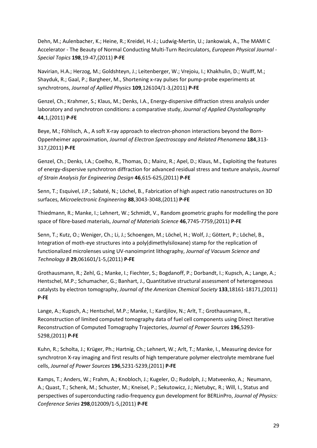Dehn, M.; Aulenbacher, K.; Heine, R.; Kreidel, H.-J.; Ludwig-Mertin, U.; Jankowiak, A., The MAMI C Accelerator - The Beauty of Normal Conducting Multi-Turn Recirculators, *European Physical Journal - Special Topics* **198**,19-47,(2011) **P-FE**

Navirian, H.A.; Herzog, M.; Goldshteyn, J.; Leitenberger, W.; Vrejoiu, I.; Khakhulin, D.; Wulff, M.; Shayduk, R.; Gaal, P.; Bargheer, M., Shortening x-ray pulses for pump-probe experiments at synchrotrons, *Journal of Apllied Physics* **109**,126104/1-3,(2011) **P-FE**

Genzel, Ch.; Krahmer, S.; Klaus, M.; Denks, I.A., Energy-dispersive diffraction stress analysis under laboratory and synchrotron conditions: a comparative study, *Journal of Applied Chystallography* **44**,1,(2011) **P-FE**

Beye, M.; Föhlisch, A., A soft X-ray approach to electron-phonon interactions beyond the Born-Oppenheimer approximation, *Journal of Electron Spectroscopy and Related Phenomena* **184**,313- 317,(2011) **P-FE**

Genzel, Ch.; Denks, I.A.; Coelho, R., Thomas, D.; Mainz, R.; Apel, D.; Klaus, M., Exploiting the features of energy-dispersive synchrotron diffraction for advanced residual stress and texture analysis, *Journal of Strain Analysis for Engineering Design* **46**,615-625,(2011) **P-FE**

Senn, T.; Esquivel, J.P.; Sabaté, N.; Löchel, B., Fabrication of high aspect ratio nanostructures on 3D surfaces, *Microelectronic Engineering* **88**,3043-3048,(2011) **P-FE**

Thiedmann, R.; Manke, I.; Lehnert, W.; Schmidt, V., Random geometric graphs for modelling the pore space of fibre-based materials, *Journal of Materials Science* **46**,7745-7759,(2011) **P-FE**

Senn, T.; Kutz, O.; Weniger, Ch.; Li, J.; Schoengen, M.; Löchel, H.; Wolf, J.; Göttert, P.; Löchel, B., Integration of moth-eye structures into a poly(dimethylsiloxane) stamp for the replication of functionalized microlenses using UV-nanoimprint lithography, *Journal of Vacuum Science and Technology B* **29**,061601/1-5,(2011) **P-FE**

Grothausmann, R.; Zehl, G.; Manke, I.; Fiechter, S.; Bogdanoff, P.; Dorbandt, I.; Kupsch, A.; Lange, A.; Hentschel, M.P.; Schumacher, G.; Banhart, J., Quantitative structural assessment of heterogeneous catalysts by electron tomography, *Journal of the American Chemical Society* **133**,18161-18171,(2011) **P-FE**

Lange, A.; Kupsch, A.; Hentschel, M.P.; Manke, I.; Kardjilov, N.; Arlt, T.; Grothausmann, R., Reconstruction of limited computed tomography data of fuel cell components using Direct Iterative Reconstruction of Computed Tomography Trajectories, *Journal of Power Sources* **196**,5293- 5298,(2011) **P-FE**

Kuhn, R.; Scholta, J.; Krüger, Ph.; Hartnig, Ch.; Lehnert, W.; Arlt, T.; Manke, I., Measuring device for synchrotron X-ray imaging and first results of high temperature polymer electrolyte membrane fuel cells, *Journal of Power Sources* **196**,5231-5239,(2011) **P-FE**

Kamps, T.; Anders, W.; Frahm, A.; Knobloch, J.; Kugeler, O.; Rudolph, J.; Matveenko, A.; Neumann, A.; Quast, T.; Schenk, M.; Schuster, M.; Kneisel, P.; Sekutowicz, J.; Nietubyc, R.; Will, I., Status and perspectives of superconducting radio-frequency gun development for BERLinPro, *Journal of Physics: Conference Series* **298**,012009/1-5,(2011) **P-FE**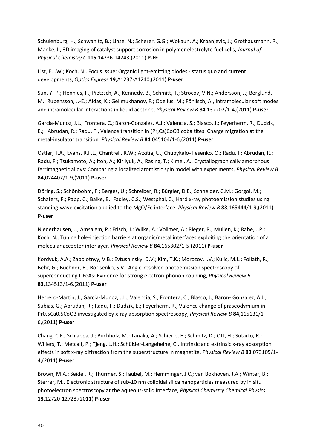Schulenburg, H.; Schwanitz, B.; Linse, N.; Scherer, G.G.; Wokaun, A.; Krbanjevic, J.; Grothausmann, R.; Manke, I., 3D imaging of catalyst support corrosion in polymer electrolyte fuel cells, *Journal of Physical Chemistry C* **115**,14236-14243,(2011) **P-FE**

List, E.J.W.; Koch, N., Focus Issue: Organic light-emitting diodes - status quo and current developments, *Optics Express* **19**,A1237-A1240,(2011) **P-user**

Sun, Y.-P.; Hennies, F.; Pietzsch, A.; Kennedy, B.; Schmitt, T.; Strocov, V.N.; Andersson, J.; Berglund, M.; Rubensson, J.-E.; Aidas, K.; Gel'mukhanov, F.; Odelius, M.; Föhlisch, A., Intramolecular soft modes and intramolecular interactions in liquid acetone, *Physical Review B* **84**,132202/1-4,(2011) **P-user**

Garcia-Munoz, J.L.; Frontera, C.; Baron-Gonzalez, A.J.; Valencia, S.; Blasco, J.; Feyerherm, R.; Dudzik, E.; Abrudan, R.; Radu, F., Valence transition in (Pr,Ca)CoO3 cobaltites: Charge migration at the metal-insulator transition, *Physical Review B* **84**,045104/1-6,(2011) **P-user**

Ostler, T.A.; Evans, R.F.L.; Chantrell, R.W.; Atxitia, U.; Chubykalo- Fesenko, O.; Radu, I.; Abrudan, R.; Radu, F.; Tsukamoto, A.; Itoh, A.; Kirilyuk, A.; Rasing, T.; Kimel, A., Crystallographically amorphous ferrimagnetic alloys: Comparing a localized atomistic spin model with experiments, *Physical Review B* **84**,024407/1-9,(2011) **P-user**

Döring, S.; Schönbohm, F.; Berges, U.; Schreiber, R.; Bürgler, D.E.; Schneider, C.M.; Gorgoi, M.; Schäfers, F.; Papp, C.; Balke, B.; Fadley, C.S.; Westphal, C., Hard x-ray photoemission studies using standing-wave excitation applied to the MgO/Fe interface, *Physical Review B* **83**,165444/1-9,(2011) **P-user**

Niederhausen, J.; Amsalem, P.; Frisch, J.; Wilke, A.; Vollmer, A.; Rieger, R.; Müllen, K.; Rabe, J.P.; Koch, N., Tuning hole-injection barriers at organic/metal interfaces exploiting the orientation of a molecular acceptor interlayer, *Physical Review B* **84**,165302/1-5,(2011) **P-user**

Kordyuk, A.A.; Zabolotnyy, V.B.; Evtushinsky, D.V.; Kim, T.K.; Morozov, I.V.; Kulic, M.L.; Follath, R.; Behr, G.; Büchner, B.; Borisenko, S.V., Angle-resolved photoemission spectroscopy of superconducting LiFeAs: Evidence for strong electron-phonon coupling, *Physical Review B* **83**,134513/1-6,(2011) **P-user**

Herrero-Martin, J.; Garcia-Munoz, J.L.; Valencia, S.; Frontera, C.; Blasco, J.; Baron- Gonzalez, A.J.; Subias, G.; Abrudan, R.; Radu, F.; Dudzik, E.; Feyerherm, R., Valence change of praseodymium in Pr0.5Ca0.5CoO3 investigated by x-ray absorption spectroscopy, *Physical Review B* **84**,115131/1- 6,(2011) **P-user**

Chang, C.F.; Schlappa, J.; Buchholz, M.; Tanaka, A.; Schierle, E.; Schmitz, D.; Ott, H.; Sutarto, R.; Willers, T.; Metcalf, P.; Tjeng, L.H.; Schüßler-Langeheine, C., Intrinsic and extrinsic x-ray absorption effects in soft x-ray diffraction from the superstructure in magnetite, *Physical Review B* **83**,073105/1- 4,(2011) **P-user**

Brown, M.A.; Seidel, R.; Thürmer, S.; Faubel, M.; Hemminger, J.C.; van Bokhoven, J.A.; Winter, B.; Sterrer, M., Electronic structure of sub-10 nm colloidal silica nanoparticles measured by in situ photoelectron spectroscopy at the aqueous-solid interface, *Physical Chemistry Chemical Physics* **13**,12720-12723,(2011) **P-user**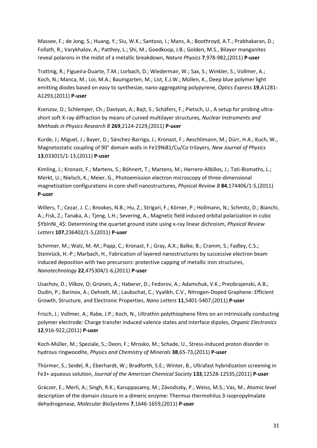Massee, F.; de Jong, S.; Huang, Y.; Siu, W.K.; Santoso, I.; Mans, A.; Boothroyd, A.T.; Prabhakaran, D.; Follath, R.; Varykhalov, A.; Patthey, L.; Shi, M.; Goedkoop, J.B.; Golden, M.S., Bilayer manganites reveal polarons in the midst of a metallic breakdown, *Nature Physics* **7**,978-982,(2011) **P-user**

Trattnig, R.; Figueira-Duarte, T.M.; Lorbach, D.; Wiedermair, W.; Sax, S.; Winkler, S.; Vollmer, A.; Koch, N.; Manca, M.; Loi, M.A.; Baumgarten, M.; List, E.J.W.; Müllen, K., Deep blue polymer light emitting diodes based on easy to synthesize, nano-aggregating polypyrene, *Optics Express* **19**,A1281- A1293,(2011) **P-user**

Ksenzov, D.; Schlemper, Ch.; Davtyan, A.; Bajt, S.; Schäfers, F.; Pietsch, U., A setup for probing ultrashort soft X-ray diffraction by means of curved multilayer structures, *Nuclear Instruments and Methods in Physics Research B* **269**,2124-2129,(2011) **P-user**

Kurde, J.; Miguel, J.; Bayer, D.; Sánchez-Barriga, J.; Kronast, F.; Aeschlimann, M.; Dürr, H.A.; Kuch, W., Magnetostatic coupling of 90° domain walls in Fe19Ni81/Cu/Co trilayers, *New Journal of Physics* **13**,033015/1-13,(2011) **P-user**

Kimling, J.; Kronast, F.; Martens, S.; Böhnert, T.; Martens, M.; Herrero-Albillos, J.; Tati-Bismaths, L.; Merkt, U.; Nielsch, K.; Meier, G., Photoemission electron microscopy of three-dimensional magnetization configurations in core-shell nanostructures, *Physical Review B* **84**,174406/1-5,(2011) **P-user**

Willers, T.; Cezar, J. C.; Brookes, N.B.; Hu, Z.; Strigari, F.; Körner, P.; Hollmann, N.; Schmitz, D.; Bianchi, A.; Fisk, Z.; Tanaka, A.; Tjeng, L.H.; Severing, A., Magnetic field induced orbital polarization in cubic \$YbInNi\_4\$: Determining the quartet ground state using x-ray linear dichroism, *Physical Review Letters* **107**,236402/1-5,(2011) **P-user**

Schirmer, M.; Walz, M.-M.; Papp, C.; Kronast, F.; Gray, A.X.; Balke, B.; Cramm, S.; Fadley, C.S.; Steinrück, H.-P.; Marbach, H., Fabrication of layered nanostructures by successive electron beam induced deposition with two precursors: protective capping of metallic iron structures, *Nanotechnology* **22**,475304/1-6,(2011) **P-user**

Usachov, D.; Vilkov, O; Grüneis, A.; Haberer, D.; Fedorov, A.; Adamchuk, V.K.; Preobrajenski, A.B.; Dudin, P.; Barinov, A.; Oehzelt, M.; Laubschat, C.; Vyalikh, C.V., Nitrogen-Doped Graphene: Efficient Growth, Structure, and Electronic Properties, *Nano Letters* **11**,5401-5407,(2011) **P-user**

Frisch, J.; Vollmer, A.; Rabe, J.P.; Koch, N., Ultrathin polythiophene films on an intrinsically conducting polymer electrode: Charge transfer induced valence states and interface dipoles, *Organic Electronics* **12**,916-922,(2011) **P-user**

Koch-Müller, M.; Speziale, S.; Deon, F.; Mrosko, M.; Schade, U., Stress-induced proton disorder in hydrous ringwoodite, *Physics and Chemistry of Minerals* **38**,65-73,(2011) **P-user**

Thürmer, S.; Seidel, R.; Eberhardt, W.; Bradforth, S.E.; Winter, B., Ultrafast hybridization screening in Fe3+ aqueous solution, *Journal of the American Chemical Society* **133**,12528-12535,(2011) **P-user**

Gráczer, E.; Merli, A.; Singh, R.K.; Karuppasamy, M.; Závodszky, P.; Weiss, M.S.; Vas, M., Atomic level description of the domain closure in a dimeric enzyme: Thermus thermohilus 3-isopropylmalate dehydrogenase, *Molecular BioSystems* **7**,1646-1659,(2011) **P-user**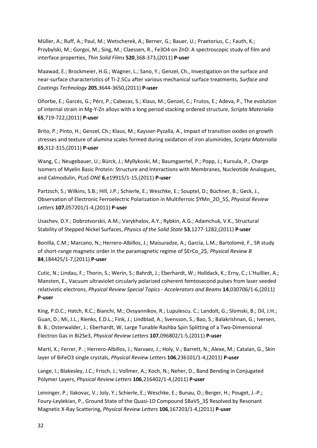Müller, A.; Ruff, A.; Paul, M.; Wetscherek, A.; Berner, G.; Bauer, U.; Praetorius, C.; Fauth, K.; Przybylski, M.; Gorgoi, M.; Sing, M.; Claessen, R., Fe3O4 on ZnO: A spectroscopic study of film and interface properties, *Thin Solid Films* **520**,368-373,(2011) **P-user**

Maawad, E.; Brockmeier, H.G.; Wagner, L.; Sano, Y.; Genzel, Ch., Investigation on the surface and near-surface characteristics of Ti-2.5Cu after various mechanical surface treatments, *Surface and Coatings Technology* **205**,3644-3650,(2011) **P-user**

Oñorbe, E.; Garcés, G.; Pérz, P.; Cabezas, S.; Klaus, M.; Genzel, C.; Frutos, E.; Adeva, P., The evolution of internal strain in Mg-Y-Zn alloys with a long period stacking ordered structure, *Scripta Materialia* **65**,719-722,(2011) **P-user**

Brito, P.; Pinto, H.; Genzel, Ch.; Klaus, M.; Kaysser-Pyzalla, A., Impact of transition oxides on growth stresses and texture of alumina scales formed during oxidation of iron aluminides, *Scripta Materialia* **65**,312-315,(2011) **P-user**

Wang, C.; Neugebauer, U.; Bürck, J.; Myllykoski, M.; Baumgaertel, P.; Popp, J.; Kursula, P., Charge Isomers of Myelin Basic Protein: Structure and Interactions with Membranes, Nucleotide Analogues, and Calmodulin, *PLoS ONE* **6**,e19915/1-15,(2011) **P-user**

Partzsch, S.; Wilkins, S.B.; Hill, J.P.; Schierle, E.; Weschke, E.; Souptel, D.; Büchner, B.; Geck, J., Observation of Electronic Ferroelectric Polarization in Multiferroic \$YMn\_2O\_5\$, *Physical Review Letters* **107**,057201/1-4,(2011) **P-user**

Usachev, D.Y.; Dobrotvorskii, A.M.; Varykhalov, A.Y.; Rybkin, A.G.; Adamchuk, V.K., Structural Stability of Stepped Nickel Surfaces, *Physics of the Solid State* **53**,1277-1282,(2011) **P-user**

Bonilla, C.M.; Marcano, N.; Herrero-Albillos, J.; Maisuradze, A.; García, L.M.; Bartolomé, F., SR study of short-range magnetic order in the paramagnetic regime of \$ErCo\_2\$, *Physical Review B* **84**,184425/1-7,(2011) **P-user**

Cutic, N.; Lindau, F.; Thorin, S.; Werin, S.; Bahrdt, J.; Eberhardt, W.; Holldack, K.; Erny, C.; L'Huillier, A.; Mansten, E., Vacuum ultraviolet circularly polarized coherent femtosecond pulses from laser seeded relativistic electrons, *Physical Review Special Topics - Accelerators and Beams* **14**,030706/1-6,(2011) **P-user**

King, P.D.C.; Hatch, R.C.; Bianchi, M.; Ovsyannikov, R.; Lupulescu. C.; Landolt, G.; Slomski, B.; Dil, J.H.; Guan, D.; Mi, J.L.; Rienks, E.D.L.; Fink, J.; Lindblad, A.; Svensson, S.; Bao, S.; Balakrishnan, G.; Iversen, B. B.; Osterwalder, J.; Eberhardt, W, Large Tunable Rashba Spin Splitting of a Two-Dimensional Electron Gas in Bi2Se3, *Physical Review Letters* **107**,096802/1-5,(2011) **P-user**

Martí, X.; Ferrer, P. ; Herrero-Albillos, J.; Narvaez, J.; Holy, V.; Barrett, N.; Alexe, M.; Catalan, G., Skin layer of BiFeO3 single crystals, *Physical Review Letters* **106**,236101/1-4,(2011) **P-user**

Lange, I.; Blakesley, J.C.; Frisch, J.; Vollmer, A.; Koch, N.; Neher, D., Band Bending in Conjugated Polymer Layers, *Physical Review Letters* **106**,216402/1-4,(2011) **P-user**

Leininger, P.; Ilakovac, V.; Joly, Y.; Schierle, E.; Weschke, E.; Bunau, O.; Berger, H.; Pouget, J.-P.; Foury-Leylekian, P., Ground State of the Quasi-1D Compound \$BaVS\_3\$ Resolved by Resonant Magnetic X-Ray Scattering, *Physical Review Letters* **106**,167203/1-4,(2011) **P-user**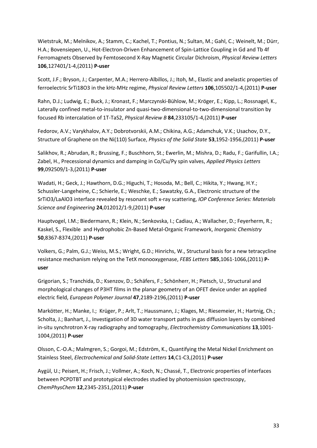Wietstruk, M.; Melnikov, A.; Stamm, C.; Kachel, T.; Pontius, N.; Sultan, M.; Gahl, C.; Weinelt, M.; Dürr, H.A.; Bovensiepen, U., Hot-Electron-Driven Enhancement of Spin-Lattice Coupling in Gd and Tb 4f Ferromagnets Observed by Femtosecond X-Ray Magnetic Circular Dichroism, *Physical Review Letters* **106**,127401/1-4,(2011) **P-user**

Scott, J.F.; Bryson, J.; Carpenter, M.A.; Herrero-Albillos, J.; Itoh, M., Elastic and anelastic properties of ferroelectric SrTi18O3 in the kHz-MHz regime, *Physical Review Letters* **106**,105502/1-4,(2011) **P-user**

Rahn, D.J.; Ludwig, E.; Buck, J.; Kronast, F.; Marczynski-Bühlow, M.; Kröger, E.; Kipp, L.; Rossnagel, K., Laterally confined metal-to-insulator and quasi-two-dimensional-to-two-dimensional transition by focused Rb intercalation of 1T-TaS2, *Physical Review B* **84**,233105/1-4,(2011) **P-user**

Fedorov, A.V.; Varykhalov, A.Y.; Dobrotvorskii, A.M.; Chikina, A.G.; Adamchuk, V.K.; Usachov, D.Y., Structure of Graphene on the Ni(110) Surface, *Physics of the Solid State* **53**,1952-1956,(2011) **P-user**

Salikhov, R.; Abrudan, R.; Brussing, F.; Buschhorn, St.; Ewerlin, M.; Mishra, D.; Radu, F.; Garifullin, I.A.; Zabel, H., Precessional dynamics and damping in Co/Cu/Py spin valves, *Applied Physics Letters* **99**,092509/1-3,(2011) **P-user**

Wadati, H.; Geck, J.; Hawthorn, D.G.; Higuchi, T.; Hosoda, M.; Bell, C.; Hikita, Y.; Hwang, H.Y.; Schussler-Langeheine, C.; Schierle, E.; Weschke, E.; Sawatzky, G.A., Electronic structure of the SrTiO3/LaAlO3 interface revealed by resonant soft x-ray scattering, *IOP Conference Series: Materials Science and Engineering* **24**,012012/1-9,(2011) **P-user**

Hauptvogel, I.M.; Biedermann, R.; Klein, N.; Senkovska, I.; Cadiau, A.; Wallacher, D.; Feyerherm, R.; Kaskel, S., Flexible and Hydrophobic Zn-Based Metal-Organic Framework, *Inorganic Chemistry* **50**,8367-8374,(2011) **P-user**

Volkers, G.; Palm, G.J.; Weiss, M.S.; Wright, G.D.; Hinrichs, W., Structural basis for a new tetracycline resistance mechanism relying on the TetX monooxygenase, *FEBS Letters* **585**,1061-1066,(2011) **Puser**

Grigorian, S.; Tranchida, D.; Ksenzov, D.; Schäfers, F.; Schönherr, H.; Pietsch, U., Structural and morphological changes of P3HT films in the planar geometry of an OFET device under an applied electric field, *European Polymer Journal* **47**,2189-2196,(2011) **P-user**

Markötter, H.; Manke, I.; Krüger, P.; Arlt, T.; Haussmann, J.; Klages, M.; Riesemeier, H.; Hartnig, Ch.; Scholta, J.; Banhart, J., Investigation of 3D water transport paths in gas diffusion layers by combined in-situ synchrotron X-ray radiography and tomography, *Electrochemistry Communications* **13**,1001- 1004,(2011) **P-user**

Olsson, C.-O.A.; Malmgren, S.; Gorgoi, M.; Edström, K., Quantifying the Metal Nickel Enrichment on Stainless Steel, *Electrochemical and Solid-State Letters* **14**,C1-C3,(2011) **P-user**

Aygül, U.; Peisert, H.; Frisch, J.; Vollmer, A.; Koch, N.; Chassé, T., Electronic properties of interfaces between PCPDTBT and prototypical electrodes studied by photoemission spectroscopy, *ChemPhysChem* **12**,2345-2351,(2011) **P-user**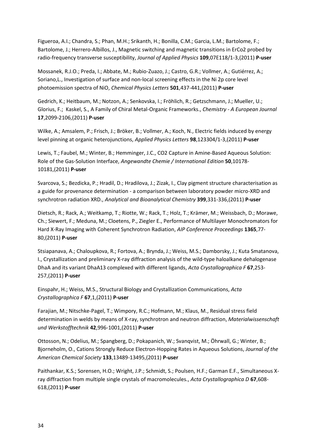Figueroa, A.I.; Chandra, S.; Phan, M.H.; Srikanth, H.; Bonilla, C.M.; Garcia, L.M.; Bartolome, F.; Bartolome, J.; Herrero-Albillos, J., Magnetic switching and magnetic transitions in ErCo2 probed by radio-frequency transverse susceptibility, *Journal of Applied Physics* **109**,07E118/1-3,(2011) **P-user**

Mossanek, R.J.O.; Preda, I.; Abbate, M.; Rubio-Zuazo, J.; Castro, G.R.; Vollmer, A.; Gutiérrez, A.; Soriano,L., Investigation of surface and non-local screening effects in the Ni 2p core level photoemission spectra of NiO, *Chemical Physics Letters* **501**,437-441,(2011) **P-user**

Gedrich, K.; Heitbaum, M.; Notzon, A.; Senkovska, I.; Fröhlich, R.; Getzschmann, J.; Mueller, U.; Glorius, F.; Kaskel, S., A Family of Chiral Metal-Organic Frameworks., *Chemistry - A European Journal* **17**,2099-2106,(2011) **P-user**

Wilke, A.; Amsalem, P.; Frisch, J.; Bröker, B.; Vollmer, A.; Koch, N., Electric fields induced by energy level pinning at organic heterojunctions, *Applied Physics Letters* **98**,123304/1-3,(2011) **P-user**

Lewis, T.; Faubel, M.; Winter, B.; Hemminger, J.C., CO2 Capture in Amine-Based Aqueous Solution: Role of the Gas-Solution Interface, *Angewandte Chemie / International Edition* **50**,10178- 10181,(2011) **P-user**

Svarcova, S.; Bezdicka, P.; Hradil, D.; Hradilova, J.; Zizak, I., Clay pigment structure characterisation as a guide for provenance determination - a comparison between laboratory powder micro-XRD and synchrotron radiation XRD., *Analytical and Bioanalytical Chemistry* **399**,331-336,(2011) **P-user**

Dietsch, R.; Rack, A.; Weitkamp, T.; Riotte, W.; Rack, T.; Holz, T.; Krämer, M.; Weissbach, D.; Morawe, Ch.; Siewert, F.; Meduna, M.; Cloetens, P., Ziegler E., Performance of Multilayer Monochromators for Hard X-Ray Imaging with Coherent Synchrotron Radiation, *AIP Conference Proceedings* **1365**,77- 80,(2011) **P-user**

Stsiapanava, A.; Chaloupkova, R.; Fortova, A.; Brynda, J.; Weiss, M.S.; Damborsky, J.; Kuta Smatanova, I., Crystallization and preliminary X-ray diffraction analysis of the wild-type haloalkane dehalogenase DhaA and its variant DhaA13 complexed with different ligands, *Acta Crystallographica F* **67**,253- 257,(2011) **P-user**

Einspahr, H.; Weiss, M.S., Structural Biology and Crystallization Communications, *Acta Crystallographica F* **67**,1,(2011) **P-user**

Farajian, M.; Nitschke-Pagel, T.; Wimpory, R.C.; Hofmann, M.; Klaus, M., Residual stress field determination in welds by means of X-ray, synchrotron and neutron diffraction, *Materialwissenschaft und Werkstofftechnik* **42**,996-1001,(2011) **P-user**

Ottosson, N.; Odelius, M.; Spangberg, D.; Pokapanich, W.; Svanqvist, M.; Öhrwall, G.; Winter, B.; Bjorneholm, O., Cations Strongly Reduce Electron-Hopping Rates in Aqueous Solutions, *Journal of the American Chemical Society* **133**,13489-13495,(2011) **P-user**

Paithankar, K.S.; Sorensen, H.O.; Wright, J.P.; Schmidt, S.; Poulsen, H.F.; Garman E.F., Simultaneous Xray diffraction from multiple single crystals of macromolecules., *Acta Crystallographica D* **67**,608- 618,(2011) **P-user**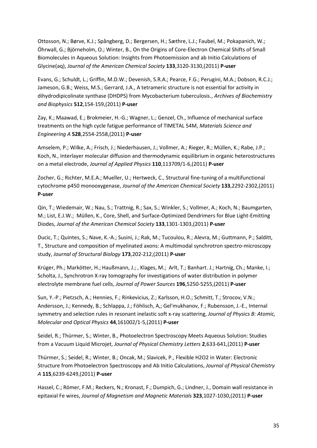Ottosson, N.; Børve, K.J.; Spångberg, D.; Bergersen, H.; Sæthre, L.J.; Faubel, M.; Pokapanich, W.; Öhrwall, G.; Björneholm, O.; Winter, B., On the Origins of Core-Electron Chemical Shifts of Small Biomolecules in Aqueous Solution: Insights from Photoemission and ab Initio Calculations of Glycine(aq), *Journal of the American Chemical Society* **133**,3120-3130,(2011) **P-user**

Evans, G.; Schuldt, L.; Griffin, M.D.W.; Devenish, S.R.A.; Pearce, F.G.; Perugini, M.A.; Dobson, R.C.J.; Jameson, G.B.; Weiss, M.S.; Gerrard, J.A., A tetrameric structure is not essential for activity in dihydrodipicolinate synthase (DHDPS) from Mycobacterium tuberculosis., *Archives of Biochemistry and Biophysics* **512**,154-159,(2011) **P-user**

Zay, K.; Maawad, E.; Brokmeier, H.-G.; Wagner, L.; Genzel, Ch., Influence of mechanical surface treatments on the high cycle fatigue performance of TIMETAL 54M, *Materials Science and Engineering A* **528**,2554-2558,(2011) **P-user**

Amselem, P.; Wilke, A.; Frisch, J.; Niederhausen, J.; Vollmer, A.; Rieger, R.; Müllen, K.; Rabe, J.P.; Koch, N., Interlayer molecular diffusion and thermodynamic equilibrium in organic heterostructures on a metal electrode, *Journal of Applied Physics* **110**,113709/1-6,(2011) **P-user**

Zocher, G.; Richter, M.E.A.; Mueller, U.; Hertweck, C., Structural fine-tuning of a multifunctional cytochrome p450 monooxygenase, *Journal of the American Chemical Society* **133**,2292-2302,(2011) **P-user**

Qin, T.; Wiedemair, W.; Nau, S.; Trattnig, R.; Sax, S.; Winkler, S.; Vollmer, A.; Koch, N.; Baumgarten, M.; List, E.J.W.; Müllen, K., Core, Shell, and Surface-Optimized Dendrimers for Blue Light-Emitting Diodes, *Journal of the American Chemical Society* **133**,1301-1303,(2011) **P-user**

Ducic, T.; Quintes, S.; Nave, K.-A.; Susini, J.; Rak, M.; Tucoulou, R.; Alevra, M.; Guttmann, P.; Salditt, T., Structure and composition of myelinated axons: A multimodal synchrotron spectro-microscopy study, *Journal of Structural Biology* **173**,202-212,(2011) **P-user**

Krüger, Ph.; Markötter, H.; Haußmann, J.; , Klages, M.; Arlt, T.; Banhart. J.; Hartnig, Ch.; Manke, I.; Scholta, J., Synchrotron X-ray tomography for investigations of water distribution in polymer electrolyte membrane fuel cells, *Journal of Power Sources* **196**,5250-5255,(2011) **P-user**

Sun, Y.-P.; Pietzsch, A.; Hennies, F.; Rinkevicius, Z.; Karlsson, H.O.; Schmitt, T.; Strocov, V.N.; Andersson, J.; Kennedy, B.; Schlappa, J.; Föhlisch, A,; Gel'mukhanov, F.; Rubensson, J.-E., Internal symmetry and selection rules in resonant inelastic soft x-ray scattering, *Journal of Physics B: Atomic, Molecular and Optical Physics* **44**,161002/1-5,(2011) **P-user**

Seidel, R.; Thürmer, S.; Winter, B., Photoelectron Spectroscopy Meets Aqueous Solution: Studies from a Vacuum Liquid Microjet, *Journal of Physical Chemistry Letters* **2**,633-641,(2011) **P-user**

Thürmer, S.; Seidel, R.; Winter, B.; Oncak, M.; Slavicek, P., Flexible H2O2 in Water: Electronic Structure from Photoelectron Spectroscopy and Ab Initio Calculations, *Journal of Physical Chemistry A* **115**,6239-6249,(2011) **P-user**

Hassel, C.; Römer, F.M.; Reckers, N.; Kronast, F.; Dumpich, G.; Lindner, J., Domain wall resistance in epitaxial Fe wires, *Journal of Magnetism and Magnetic Materials* **323**,1027-1030,(2011) **P-user**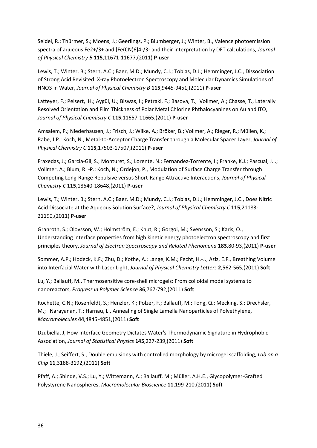Seidel, R.; Thürmer, S.; Moens, J.; Geerlings, P.; Blumberger, J.; Winter, B., Valence photoemission spectra of aqueous Fe2+/3+ and [Fe(CN)6]4-/3- and their interpretation by DFT calculations, *Journal of Physical Chemistry B* **115**,11671-11677,(2011) **P-user**

Lewis, T.; Winter, B.; Stern, A.C.; Baer, M.D.; Mundy, C.J.; Tobias, D.J.; Hemminger, J.C., Dissociation of Strong Acid Revisited: X-ray Photoelectron Spectroscopy and Molecular Dynamics Simulations of HNO3 in Water, *Journal of Physical Chemistry B* **115**,9445-9451,(2011) **P-user**

Latteyer, F.; Peisert, H.; Aygül, U.; Biswas, I.; Petraki, F.; Basova, T.; Vollmer, A.; Chasse, T., Laterally Resolved Orientation and Film Thickness of Polar Metal Chlorine Phthalocyanines on Au and ITO, *Journal of Physical Chemistry C* **115**,11657-11665,(2011) **P-user**

Amsalem, P.; Niederhausen, J.; Frisch, J.; Wilke, A.; Bröker, B.; Vollmer, A.; Rieger, R.; Müllen, K.; Rabe, J.P.; Koch, N., Metal-to-Acceptor Charge Transfer through a Molecular Spacer Layer, *Journal of Physical Chemistry C* **115**,17503-17507,(2011) **P-user**

Fraxedas, J.; Garcia-Gil, S.; Monturet, S.; Lorente, N.; Fernandez-Torrente, I.; Franke, K.J.; Pascual, J.I.; Vollmer, A.; Blum, R. -P.; Koch, N.; Ordejon, P., Modulation of Surface Charge Transfer through Competing Long-Range Repulsive versus Short-Range Attractive Interactions, *Journal of Physical Chemistry C* **115**,18640-18648,(2011) **P-user**

Lewis, T.; Winter, B.; Stern, A.C.; Baer, M.D.; Mundy, C.J.; Tobias, D.J.; Hemminger, J.C., Does Nitric Acid Dissociate at the Aqueous Solution Surface?, *Journal of Physical Chemistry C* **115**,21183- 21190,(2011) **P-user**

Granroth, S.; Olovsson, W.; Holmström, E.; Knut, R.; Gorgoi, M.; Svensson, S.; Karis, O., Understanding interface properties from high kinetic energy photoelectron spectroscopy and first principles theory, *Journal of Electron Spectroscopy and Related Phenomena* **183**,80-93,(2011) **P-user**

Sommer, A.P.; Hodeck, K.F.; Zhu, D.; Kothe, A.; Lange, K.M.; Fecht, H.-J.; Aziz, E.F., Breathing Volume into Interfacial Water with Laser Light, *Journal of Physical Chemistry Letters* **2**,562-565,(2011) **Soft**

Lu, Y.; Ballauff, M., Thermosensitive core-shell microgels: From colloidal model systems to nanoreactors, *Progress in Polymer Science* **36**,767-792,(2011) **Soft**

Rochette, C.N.; Rosenfeldt, S.; Henzler, K.; Polzer, F.; Ballauff, M.; Tong, Q.; Mecking, S.; Drechsler, M.; Narayanan, T.; Harnau, L., Annealing of Single Lamella Nanoparticles of Polyethylene, *Macromolecules* **44**,4845-4851,(2011) **Soft**

Dzubiella, J, How Interface Geometry Dictates Water's Thermodynamic Signature in Hydrophobic Association, *Journal of Statistical Physics* **145**,227-239,(2011) **Soft**

Thiele, J.; Seiffert, S., Double emulsions with controlled morphology by microgel scaffolding, *Lab on a Chip* **11**,3188-3192,(2011) **Soft**

Pfaff, A.; Shinde, V.S.; Lu, Y.; Wittemann, A.; Ballauff, M.; Müller, A.H.E., Glycopolymer-Grafted Polystyrene Nanospheres, *Macromolecular Bioscience* **11**,199-210,(2011) **Soft**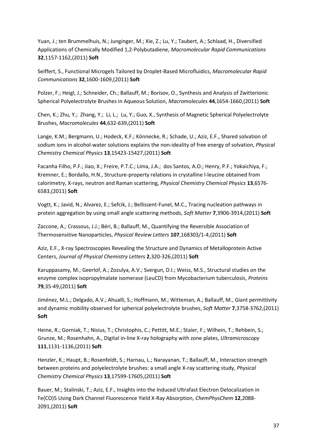Yuan, J.; ten Brummelhuis, N.; Junginger, M.; Xie, Z.; Lu, Y.; Taubert, A.; Schlaad, H., Diversified Applications of Chemically Modified 1,2-Polybutadiene, *Macromolecular Rapid Communications* **32**,1157-1162,(2011) **Soft**

Seiffert, S., Functional Microgels Tailored by Droplet-Based Microfluidics, *Macromolecular Rapid Communications* **32**,1600-1609,(2011) **Soft**

Polzer, F.; Heigl, J.; Schneider, Ch.; Ballauff, M.; Borisov, O., Synthesis and Analysis of Zwitterionic Spherical Polyelectrolyte Brushes in Aqueous Solution, *Macromolecules* **44**,1654-1660,(2011) **Soft**

Chen, K.; Zhu, Y.; Zhang, Y.; Li, L.; Lu, Y.; Guo, X., Synthesis of Magnetic Spherical Polyelectrolyte Brushes, *Macromolecules* **44**,632-639,(2011) **Soft**

Lange, K.M.; Bergmann, U.; Hodeck, K.F.; Könnecke, R.; Schade, U.; Aziz, E.F., Shared solvation of sodium ions in alcohol-water solutions explains the non-ideality of free energy of solvation, *Physical Chemistry Chemical Physics* **13**,15423-15427,(2011) **Soft**

Facanha Filho, P.F.; Jiao, X.; Freire, P.T.C.; Lima, J.A.; dos Santos, A.O.; Henry, P.F.; Yokaichiya, F.; Kremner, E.; Bordallo, H.N., Structure-property relations in crystalline l-leucine obtained from calorimetry, X-rays, neutron and Raman scattering, *Physical Chemistry Chemical Physics* **13**,6576- 6583,(2011) **Soft**

Vogtt, K.; Javid, N.; Alvarez, E.; Sefcik, J.; Bellissent-Funel, M.C., Tracing nucleation pathways in protein aggregation by using small angle scattering methods, *Soft Matter* **7**,3906-3914,(2011) **Soft**

Zaccone, A.; Crassous, J.J.; Béri, B.; Ballauff, M., Quantifying the Reversible Association of Thermosensitive Nanoparticles, *Physical Review Letters* **107**,168303/1-4,(2011) **Soft**

Aziz, E.F., X-ray Spectroscopies Revealing the Structure and Dynamics of Metalloprotein Active Centers, *Journal of Physical Chemistry Letters* **2**,320-326,(2011) **Soft**

Karuppasamy, M.; Geerlof, A.; Zozulya, A.V.; Svergun, D.I.; Weiss, M.S., Structural studies on the enzyme complex isopropylmalate isomerase (LeuCD) from Mycobacterium tuberculosis, *Proteins* **79**,35-49,(2011) **Soft**

Jiménez, M.L.; Delgado, A.V.; Ahualli, S.; Hoffmann, M.; Witteman, A.; Ballauff, M., Giant permittivity and dynamic mobility observed for spherical polyelectrolyte brushes, *Soft Matter* **7**,3758-3762,(2011) **Soft**

Heine, R.; Gorniak, T.; Nisius, T.; Christophis, C.; Pettitt, M.E.; Staier, F.; Wilhein, T.; Rehbein, S.; Grunze, M.; Rosenhahn, A., Digital in-line X-ray holography with zone plates, *Ultramicroscopy* **111**,1131-1136,(2011) **Soft**

Henzler, K.; Haupt, B.; Rosenfeldt, S.; Harnau, L.; Narayanan, T.; Ballauff, M., Interaction strength between proteins and polyelectrolyte brushes: a small angle X-ray scattering study, *Physical Chemistry Chemical Physics* **13**,17599-17605,(2011) **Soft**

Bauer, M.; Stalinski, T.; Aziz, E.F., Insights into the Induced Ultrafast Electron Delocalization in Fe(CO)5 Using Dark Channel Fluorescence Yield X-Ray Absorption, *ChemPhysChem* **12**,2088- 2091,(2011) **Soft**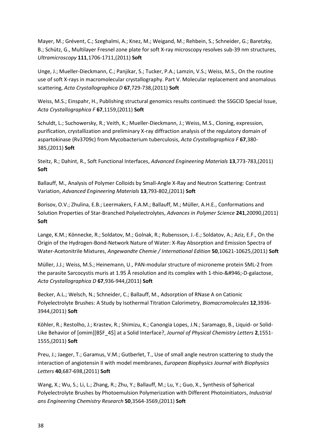Mayer, M.; Grévent, C.; Szeghalmi, A.; Knez, M.; Weigand, M.; Rehbein, S.; Schneider, G.; Baretzky, B.; Schütz, G., Multilayer Fresnel zone plate for soft X-ray microscopy resolves sub-39 nm structures, *Ultramicroscopy* **111**,1706-1711,(2011) **Soft**

Unge, J.; Mueller-Dieckmann, C.; Panjikar, S.; Tucker, P.A.; Lamzin, V.S.; Weiss, M.S., On the routine use of soft X-rays in macromolecular crystallography. Part V. Molecular replacement and anomalous scattering, *Acta Crystallographica D* **67**,729-738,(2011) **Soft**

Weiss, M.S.; Einspahr, H., Publishing structural genomics results continued: the SSGCID Special Issue, *Acta Crystallographica F* **67**,1159,(2011) **Soft**

Schuldt, L.; Suchowersky, R.; Veith, K.; Mueller-Dieckmann, J.; Weiss, M.S., Cloning, expression, purification, crystallization and preliminary X-ray diffraction analysis of the regulatory domain of aspartokinase (Rv3709c) from Mycobacterium tuberculosis, *Acta Crystallographica F* **67**,380- 385,(2011) **Soft**

Steitz, R.; Dahint, R., Soft Functional Interfaces, *Advanced Engineering Materials* **13**,773-783,(2011) **Soft**

Ballauff, M., Analysis of Polymer Colloids by Small-Angle X-Ray and Neutron Scattering: Contrast Variation, *Advanced Engineering Materials* **13**,793-802,(2011) **Soft**

Borisov, O.V.; Zhulina, E.B.; Leermakers, F.A.M.; Ballauff, M.; Müller, A.H.E., Conformations and Solution Properties of Star-Branched Polyelectrolytes, *Advances in Polymer Science* **241**,20090,(2011) **Soft**

Lange, K.M.; Könnecke, R.; Soldatov, M.; Golnak, R.; Rubensson, J.-E.; Soldatov, A.; Aziz, E.F., On the Origin of the Hydrogen-Bond-Network Nature of Water: X-Ray Absorption and Emission Spectra of Water-Acetonitrile Mixtures, *Angewandte Chemie / International Edition* **50**,10621-10625,(2011) **Soft**

Müller, J.J.; Weiss, M.S.; Heinemann, U., PAN-modular structure of microneme protein SML-2 from the parasite Sarcocystis muris at 1.95 Å resolution and its complex with 1-thio-β-D-galactose, *Acta Crystallographica D* **67**,936-944,(2011) **Soft**

Becker, A.L.; Welsch, N.; Schneider, C.; Ballauff, M., Adsorption of RNase A on Cationic Polyelectrolyte Brushes: A Study by Isothermal Titration Calorimetry, *Biomacromolecules* **12**,3936- 3944,(2011) **Soft**

Köhler, R.; Restolho, J.; Krastev, R.; Shimizu, K.; Canongia Lopes, J.N.; Saramago, B., Liquid- or Solid-Like Behavior of [omim][B\$F\_4\$] at a Solid Interface?, *Journal of Physical Chemistry Letters* **2**,1551- 1555,(2011) **Soft**

Preu, J.; Jaeger, T.; Garamus, V.M.; Gutberlet, T., Use of small angle neutron scattering to study the interaction of angiotensin II with model membranes, *European Biophysics Journal with Biophysics Letters* **40**,687-698,(2011) **Soft**

Wang, X.; Wu, S.; Li, L.; Zhang, R.; Zhu, Y.; Ballauff, M.; Lu, Y.; Guo, X., Synthesis of Spherical Polyelectrolyte Brushes by Photoemulsion Polymerization with Different Photoinitiators, *Industrial ans Engineering Chemistry Research* **50**,3564-3569,(2011) **Soft**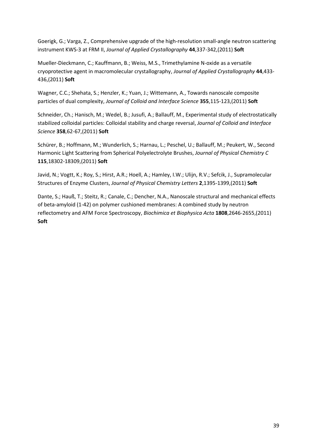Goerigk, G.; Varga, Z., Comprehensive upgrade of the high-resolution small-angle neutron scattering instrument KWS-3 at FRM II, *Journal of Applied Crystallography* **44**,337-342,(2011) **Soft**

Mueller-Dieckmann, C.; Kauffmann, B.; Weiss, M.S., Trimethylamine N-oxide as a versatile cryoprotective agent in macromolecular crystallography, *Journal of Applied Crystallography* **44**,433- 436,(2011) **Soft**

Wagner, C.C.; Shehata, S.; Henzler, K.; Yuan, J.; Wittemann, A., Towards nanoscale composite particles of dual complexity, *Journal of Colloid and Interface Science* **355**,115-123,(2011) **Soft**

Schneider, Ch.; Hanisch, M.; Wedel, B.; Jusufi, A.; Ballauff, M., Experimental study of electrostatically stabilized colloidal particles: Colloidal stability and charge reversal, *Journal of Colloid and Interface Science* **358**,62-67,(2011) **Soft**

Schürer, B.; Hoffmann, M.; Wunderlich, S.; Harnau, L.; Peschel, U.; Ballauff, M.; Peukert, W., Second Harmonic Light Scattering from Spherical Polyelectrolyte Brushes, *Journal of Physical Chemistry C* **115**,18302-18309,(2011) **Soft**

Javid, N.; Vogtt, K.; Roy, S.; Hirst, A.R.; Hoell, A.; Hamley, I.W.; Ulijn, R.V.; Sefcik, J., Supramolecular Structures of Enzyme Clusters, *Journal of Physical Chemistry Letters* **2**,1395-1399,(2011) **Soft**

<span id="page-38-0"></span>Dante, S.; Hauß, T.; Steitz, R.; Canale, C.; Dencher, N.A., Nanoscale structural and mechanical effects of beta-amyloid (1-42) on polymer cushioned membranes: A combined study by neutron reflectometry and AFM Force Spectroscopy, *Biochimica et Biophysica Acta* **1808**,2646-2655,(2011) **Soft**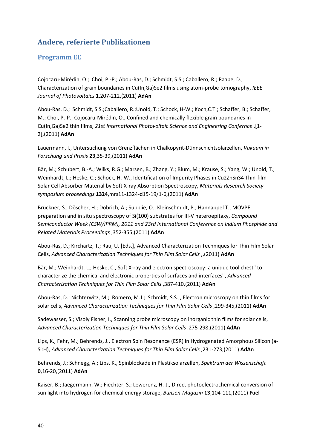## **Andere, referierte Publikationen**

### <span id="page-39-0"></span>**Programm EE**

Cojocaru-Mirédin, O.; Choi, P.-P.; Abou-Ras, D.; Schmidt, S.S.; Caballero, R.; Raabe, D., Characterization of grain boundaries in Cu(In,Ga)Se2 films using atom-probe tomography, *IEEE Journal of Photovoltaics* **1**,207-212,(2011) **AdAn**

Abou-Ras, D.; Schmidt, S.S.;Caballero, R.;Unold, T.; Schock, H-W.; Koch,C.T.; Schaffer, B.; Schaffer, M.; Choi, P.-P.; Cojocaru-Mirédin, O., Confined and chemically flexible grain boundaries in Cu(In,Ga)Se2 thin films, *21st International Photovoltaic Science and Engineering Confernce* ,[1- 2],(2011) **AdAn**

Lauermann, I., Untersuchung von Grenzflächen in Chalkopyrit-Dünnschichtsolarzellen, *Vakuum in Forschung und Praxis* **23**,35-39,(2011) **AdAn**

Bär, M.; Schubert, B.-A.; Wilks, R.G.; Marsen, B.; Zhang, Y.; Blum, M.; Krause, S.; Yang, W.; Unold, T.; Weinhardt, L.; Heske, C.; Schock, H.-W., Identification of Impurity Phases in Cu2ZnSnS4 Thin-film Solar Cell Absorber Material by Soft X-ray Absorption Spectroscopy, *Materials Research Society symposium proceedings* **1324**,mrs11-1324-d15-19/1-6,(2011) **AdAn**

Brückner, S.; Döscher, H.; Dobrich, A.; Supplie, O.; Kleinschmidt, P.; Hannappel T., MOVPE preparation and in situ spectroscopy of Si(100) substrates for III-V heteroepitaxy, *Compound Semiconductor Week (CSW/IPRM), 2011 and 23rd International Conference on Indium Phosphide and Related Materials Proceedings* ,352-355,(2011) **AdAn**

Abou-Ras, D.; Kirchartz, T.; Rau, U. [Eds.], Advanced Characterization Techniques for Thin Film Solar Cells, *Advanced Characterization Techniques for Thin Film Solar Cells* ,,(2011) **AdAn**

Bär, M.; Weinhardt, L.; Heske, C., Soft X-ray and electron spectroscopy: a unique tool chest" to characterize the chemical and electronic properties of surfaces and interfaces", *Advanced Characterization Techniques for Thin Film Solar Cells* ,387-410,(2011) **AdAn**

Abou-Ras, D.; Nichterwitz, M.; Romero, M.J.; Schmidt, S.S.;, Electron microscopy on thin films for solar cells, *Advanced Characterization Techniques for Thin Film Solar Cells* ,299-345,(2011) **AdAn**

Sadewasser, S.; Visoly Fisher, I., Scanning probe microscopy on inorganic thin films for solar cells, *Advanced Characterization Techniques for Thin Film Solar Cells* ,275-298,(2011) **AdAn**

Lips, K.; Fehr, M.; Behrends, J., Electron Spin Resonance (ESR) in Hydrogenated Amorphous Silicon (a-Si:H), *Advanced Characterization Techniques for Thin Film Solar Cells* ,231-273,(2011) **AdAn**

Behrends, J.; Schnegg, A.; Lips, K., Spinblockade in Plastiksolarzellen, *Spektrum der Wissenschaft* **0**,16-20,(2011) **AdAn**

Kaiser, B.; Jaegermann, W.; Fiechter, S.; Lewerenz, H.-J., Direct photoelectrochemical conversion of sun light into hydrogen for chemical energy storage, *Bunsen-Magazin* **13**,104-111,(2011) **Fuel**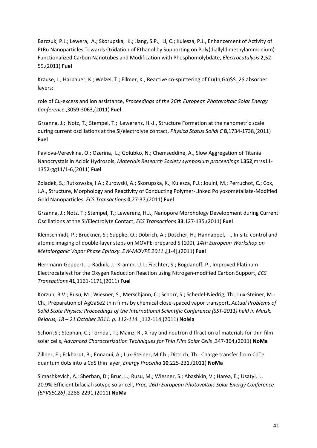Barczuk, P.J.; Lewera, A.; Skorupska, K.; Jiang, S.P.; Li, C.; Kulesza, P.J., Enhancement of Activity of PtRu Nanoparticles Towards Oxidation of Ethanol by Supporting on Poly(diallyldimethylammonium)- Functionalized Carbon Nanotubes and Modification with Phosphomolybdate, *Electrocatalysis* **2**,52- 59,(2011) **Fuel**

Krause, J.; Harbauer, K.; Welzel, T.; Ellmer, K., Reactive co-sputtering of Cu(In,Ga)\$S\_2\$ absorber layers:

role of Cu-excess and ion assistance, *Proceedings of the 26th European Photovoltaic Solar Energy Conference* ,3059-3063,(2011) **Fuel**

Grzanna, J.; Notz, T.; Stempel, T.; Lewerenz, H.-J., Structure Formation at the nanometric scale during current oscillations at the Si/electrolyte contact, *Physica Status Solidi C* **8**,1734-1738,(2011) **Fuel**

Pavlova-Verevkina, O.; Ozerina, L.; Golubko, N.; Chemseddine, A., Slow Aggregation of Titania Nanocrystals in Acidic Hydrosols, *Materials Research Society symposium proceedings* **1352**,mrss11- 1352-gg11/1-6,(2011) **Fuel**

Zoladek, S.; Rutkowska, I.A.; Zurowski, A.; Skorupska, K.; Kulesza, P.J.; Jouini, M.; Perruchot, C.; Cox, J.A., Structure, Morphology and Reactivity of Conducting Polymer-Linked Polyoxometallate-Modified Gold Nanoparticles, *ECS Transactions* **0**,27-37,(2011) **Fuel**

Grzanna, J.; Notz, T.; Stempel, T.; Lewerenz, H.J., Nanopore Morphology Development during Current Oscillations at the Si/Electrolyte Contact, *ECS Transactions* **33**,127-135,(2011) **Fuel**

Kleinschmidt, P.; Brückner, S.; Supplie, O.; Dobrich, A.; Döscher, H.; Hannappel, T., In-situ control and atomic imaging of double-layer steps on MOVPE-prepared Si(100), *14th European Workshop on Metalorganic Vapor Phase Epitaxy. EW-MOVPE 2011* ,[1-4],(2011) **Fuel**

Herrmann-Geppert, I.; Radnik, J.; Kramm, U.I.; Fiechter, S.; Bogdanoff, P., Improved Platinum Electrocatalyst for the Oxygen Reduction Reaction using Nitrogen-modified Carbon Support, *ECS Transactions* **41**,1161-1171,(2011) **Fuel**

Korzun, B.V.; Rusu, M.; Wiesner, S.; Merschjann, C.; Schorr, S.; Schedel-Niedrig, Th.; Lux-Steiner, M.- Ch., Preparation of AgGaSe2 thin films by chemical close-spaced vapor transport, *Actual Problems of Solid State Physics: Proceedings of the International Scientific Conference (SST-2011) held in Minsk, Belarus, 18 – 21 October 2011. p. 112-114.* ,112-114,(2011) **NoMa**

Schorr,S.; Stephan, C.; Törndal, T.; Mainz, R., X-ray and neutron diffraction of materials for thin film solar cells, *Advanced Characterization Techniques for Thin Film Solar Cells* ,347-364,(2011) **NoMa**

Zillner, E.; Eckhardt, B.; Ennaoui, A.; Lux-Steiner, M.Ch.; Dittrich, Th., Charge transfer from CdTe quantum dots into a CdS thin layer, *Energy Procedia* **10**,225-231,(2011) **NoMa**

Simashkevich, A.; Sherban, D.; Bruc, L.; Rusu, M.; Wiesner, S.; Abashkin, V.; Harea, E.; Usatyi, I., 20.9%-Efficient bifacial isotype solar cell, *Proc. 26th European Photovoltaic Solar Energy Conference (EPVSEC26)* ,2288-2291,(2011) **NoMa**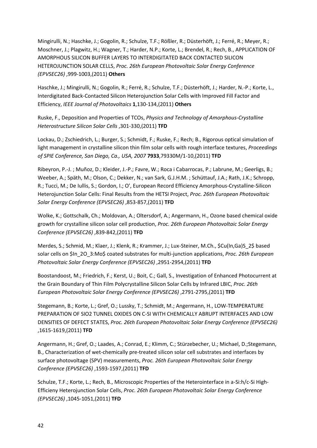Mingirulli, N.; Haschke, J.; Gogolin, R.; Schulze, T.F.; Rößler, R.; Düsterhöft, J.; Ferré, R.; Meyer, R.; Moschner, J.; Plagwitz, H.; Wagner, T.; Harder, N.P.; Korte, L.; Brendel, R.; Rech, B., APPLICATION OF AMORPHOUS SILICON BUFFER LAYERS TO INTERDIGITATED BACK CONTACTED SILICON HETEROJUNCTION SOLAR CELLS, *Proc. 26th European Photovoltaic Solar Energy Conference (EPVSEC26)* ,999-1003,(2011) **Others**

Haschke, J.; Mingirulli, N.; Gogolin, R.; Ferré, R.; Schulze, T.F.; Düsterhöft, J.; Harder, N.-P.; Korte, L., Interdigitated Back-Contacted Silicon Heterojunction Solar Cells with Improved Fill Factor and Efficiency, *IEEE Journal of Photovoltaics* **1**,130-134,(2011) **Others**

Ruske, F., Deposition and Properties of TCOs, *Physics and Technology of Amorphous-Crystalline Heterostructure Silicon Solar Cells* ,301-330,(2011) **TFD**

Lockau, D.; Zschiedrich, L.; Burger, S.; Schmidt, F.; Ruske, F.; Rech; B., Rigorous optical simulation of light management in crystalline silicon thin film solar cells with rough interface textures, *Proceedings of SPIE Conference, San Diego, Ca., USA, 2007* **7933**,79330M/1-10,(2011) **TFD**

Ribeyron, P.-J. ; Muñoz, D.; Kleider, J.-P.; Favre, W.; Roca i Cabarrocas, P.; Labrune, M.; Geerligs, B.; Weeber, A.; Späth, M.; Olson, C.; Dekker, N.; van Sark, G.J.H.M. ; Schüttauf, J.A.; Rath, J.K.; Schropp, R.; Tucci, M.; De Iullis, S.; Gordon, I.; O', European Record Efficiency Amorphous-Crystalline-Silicon Heterojunction Solar Cells: Final Results from the HETSI Project, *Proc. 26th European Photovoltaic Solar Energy Conference (EPVSEC26)* ,853-857,(2011) **TFD**

Wolke, K.; Gottschalk, Ch.; Moldovan, A.; Oltersdorf, A.; Angermann, H., Ozone based chemical oxide growth for crystalline silicon solar cell production, *Proc. 26th European Photovoltaic Solar Energy Conference (EPVSEC26)* ,839-842,(2011) **TFD**

Merdes, S.; Schmid, M.; Klaer, J.; Klenk, R.; Krammer, J.; Lux-Steiner, M.Ch., \$Cu(In,Ga)S\_2\$ based solar cells on \$In\_2O\_3:Mo\$ coated substrates for multi-junction applications, *Proc. 26th European Photovoltaic Solar Energy Conference (EPVSEC26)* ,2951-2954,(2011) **TFD**

Boostandoost, M.; Friedrich, F.; Kerst, U.; Boit, C.; Gall, S., Investigation of Enhanced Photocurrent at the Grain Boundary of Thin Film Polycrystalline Silicon Solar Cells by Infrared LBIC, *Proc. 26th European Photovoltaic Solar Energy Conference (EPVSEC26)* ,2791-2795,(2011) **TFD**

Stegemann, B.; Korte, L.; Gref, O.; Lussky, T.; Schmidt, M.; Angermann, H., LOW-TEMPERATURE PREPARATION OF SIO2 TUNNEL OXIDES ON C-SI WITH CHEMICALLY ABRUPT INTERFACES AND LOW DENSITIES OF DEFECT STATES, *Proc. 26th European Photovoltaic Solar Energy Conference (EPVSEC26)* ,1615-1619,(2011) **TFD**

Angermann, H.; Gref, O.; Laades, A.; Conrad, E.; Klimm, C.; Stürzebecher, U.; Michael, D.;Stegemann, B., Characterization of wet-chemically pre-treated silicon solar cell substrates and interfaces by surface photovoltage (SPV) measurements, *Proc. 26th European Photovoltaic Solar Energy Conference (EPVSEC26)* ,1593-1597,(2011) **TFD**

Schulze, T.F.; Korte, L.; Rech, B., Microscopic Properties of the Heterointerface in a-Si:h/c-Si High-Efficieny Heterojunction Solar Cells, *Proc. 26th European Photovoltaic Solar Energy Conference (EPVSEC26)* ,1045-1051,(2011) **TFD**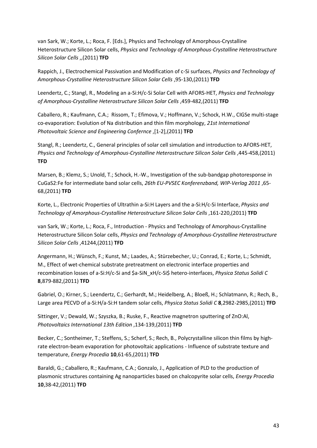van Sark, W.; Korte, L.; Roca, F. [Eds.], Physics and Technology of Amorphous-Crystalline Heterostructure Silicon Solar cells, *Physics and Technology of Amorphous-Crystalline Heterostructure Silicon Solar Cells* ,,(2011) **TFD**

Rappich, J., Electrochemical Passivation and Modification of c-Si surfaces, *Physics and Technology of Amorphous-Crystalline Heterostructure Silicon Solar Cells* ,95-130,(2011) **TFD**

Leendertz, C.; Stangl, R., Modeling an a-Si:H/c-Si Solar Cell with AFORS-HET, *Physics and Technology of Amorphous-Crystalline Heterostructure Silicon Solar Cells* ,459-482,(2011) **TFD**

Caballero, R.; Kaufmann, C.A.; Rissom, T.; Efimova, V.; Hoffmann, V.; Schock, H.W., CIGSe multi-stage co-evaporation: Evolution of Na distribution and thin film morphology, *21st International Photovoltaic Science and Engineering Confernce* ,[1-2],(2011) **TFD**

Stangl, R.; Leendertz, C., General principles of solar cell simulation and introduction to AFORS-HET, *Physics and Technology of Amorphous-Crystalline Heterostructure Silicon Solar Cells* ,445-458,(2011) **TFD**

Marsen, B.; Klemz, S.; Unold, T.; Schock, H.-W., Investigation of the sub-bandgap photoresponse in CuGaS2:Fe for intermediate band solar cells, *26th EU-PVSEC Konferenzband, WIP-Verlag 2011* ,65- 68,(2011) **TFD**

Korte, L., Electronic Properties of Ultrathin a-Si:H Layers and the a-Si:H/c-Si Interface, *Physics and Technology of Amorphous-Crystalline Heterostructure Silicon Solar Cells* ,161-220,(2011) **TFD**

van Sark, W.; Korte, L.; Roca, F., Introduction - Physics and Technology of Amorphous-Crystalline Heterostructure Silicon Solar cells, *Physics and Technology of Amorphous-Crystalline Heterostructure Silicon Solar Cells* ,41244,(2011) **TFD**

Angermann, H.; Wünsch, F.; Kunst, M.; Laades, A.; Stürzebecher, U.; Conrad, E.; Korte, L.; Schmidt, M., Effect of wet-chemical substrate pretreatment on electronic interface properties and recombination losses of a-Si:H/c-Si and \$a-SiN\_xH/c-Si\$ hetero-interfaces, *Physica Status Solidi C* **8**,879-882,(2011) **TFD**

Gabriel, O.; Kirner, S.; Leendertz, C.; Gerhardt, M.; Heidelberg, A.; Bloeß, H.; Schlatmann, R.; Rech, B., Large area PECVD of a-Si:H/a-Si:H tandem solar cells, *Physica Status Solidi C* **8**,2982-2985,(2011) **TFD**

Sittinger, V.; Dewald, W.; Szyszka, B.; Ruske, F., Reactive magnetron sputtering of ZnO:Al, *Photovoltaics International 13th Edition* ,134-139,(2011) **TFD**

Becker, C.; Sontheimer, T.; Steffens, S.; Scherf, S.; Rech, B., Polycrystalline silicon thin films by highrate electron-beam evaporation for photovoltaic applications - Influence of substrate texture and temperature, *Energy Procedia* **10**,61-65,(2011) **TFD**

Baraldi, G.; Caballero, R.; Kaufmann, C.A.; Gonzalo, J., Application of PLD to the production of plasmonic structures containing Ag nanoparticles based on chalcopyrite solar cells, *Energy Procedia* **10**,38-42,(2011) **TFD**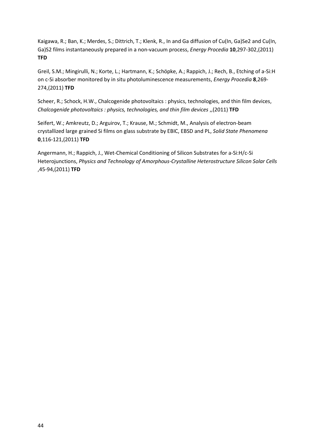Kaigawa, R.; Ban, K.; Merdes, S.; Dittrich, T.; Klenk, R., In and Ga diffusion of Cu(In, Ga)Se2 and Cu(In, Ga)S2 films instantaneously prepared in a non-vacuum process, *Energy Procedia* **10**,297-302,(2011) **TFD**

Greil, S.M.; Mingirulli, N.; Korte, L.; Hartmann, K.; Schöpke, A.; Rappich, J.; Rech, B., Etching of a-Si:H on c-Si absorber monitored by in situ photoluminescence measurements, *Energy Procedia* **8**,269- 274,(2011) **TFD**

Scheer, R.; Schock, H.W., Chalcogenide photovoltaics : physics, technologies, and thin film devices, *Chalcogenide photovoltaics : physics, technologies, and thin film devices* ,,(2011) **TFD**

Seifert, W.; Amkreutz, D.; Arguirov, T.; Krause, M.; Schmidt, M., Analysis of electron-beam crystallized large grained Si films on glass substrate by EBIC, EBSD and PL, *Solid State Phenomena* **0**,116-121,(2011) **TFD**

<span id="page-43-0"></span>Angermann, H.; Rappich, J., Wet-Chemical Conditioning of Silicon Substrates for a-Si:H/c-Si Heterojunctions, *Physics and Technology of Amorphous-Crystalline Heterostructure Silicon Solar Cells* ,45-94,(2011) **TFD**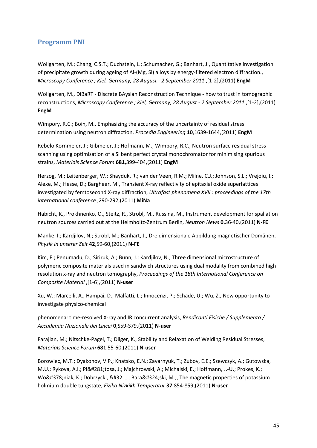#### **Programm PNI**

Wollgarten, M.; Chang, C.S.T.; Duchstein, L.; Schumacher, G.; Banhart, J., Quantitative investigation of precipitate growth during ageing of Al-(Mg, Si) alloys by energy-filtered electron diffraction., *Microscopy Conference ; Kiel, Germany, 28 August - 2 September 2011* ,[1-2],(2011) **EngM**

Wollgarten, M., DiBaRT - DIscrete BAysian Reconstruction Technique - how to trust in tomographic reconstructions, *Microscopy Conference ; Kiel, Germany, 28 August - 2 September 2011* ,[1-2],(2011) **EngM**

Wimpory, R.C.; Boin, M., Emphasizing the accuracy of the uncertainty of residual stress determination using neutron diffraction, *Procedia Engineering* **10**,1639-1644,(2011) **EngM**

Rebelo Kornmeier, J.; Gibmeier, J.; Hofmann, M.; Wimpory, R.C., Neutron surface residual stress scanning using optimisation of a Si bent perfect crystal monochromator for minimising spurious strains, *Materials Science Forum* **681**,399-404,(2011) **EngM**

Herzog, M.; Leitenberger, W.; Shayduk, R.; van der Veen, R.M.; Milne, C.J.; Johnson, S.L.; Vrejoiu, I.; Alexe, M.; Hesse, D.; Bargheer, M., Transient X-ray reflectivity of epitaxial oxide superlattices investigated by femtosecond X-ray diffraction, *Ultrafast phenomena XVII : proceedings of the 17th international conference* ,290-292,(2011) **MiNa**

Habicht, K., Prokhnenko, O., Steitz, R., Strobl, M., Russina, M., Instrument development for spallation neutron sources carried out at the Helmholtz-Zentrum Berlin, *Neutron News* **0**,36-40,(2011) **N-FE**

Manke, I.; Kardjilov, N.; Strobl, M.; Banhart, J., Dreidimensionale Abbildung magnetischer Domänen, *Physik in unserer Zeit* **42**,59-60,(2011) **N-FE**

Kim, F.; Penumadu, D.; Siriruk, A.; Bunn, J.; Kardjilov, N., Three dimensional microstructure of polymeric composite materials used in sandwich structures using dual modality from combined high resolution x-ray and neutron tomography, *Proceedings of the 18th International Conference on Composite Material* ,[1-6],(2011) **N-user**

Xu, W.; Marcelli, A.; Hampai, D.; Malfatti, L.; Innocenzi, P.; Schade, U.; Wu, Z., New opportunity to investigate physico-chemical

phenomena: time-resolved X-ray and IR concurrent analysis, *Rendiconti Fisiche / Supplemento / Accademia Nazionale dei Lincei* **0**,S59-S79,(2011) **N-user**

Farajian, M.; Nitschke-Pagel, T.; Dilger, K., Stability and Relaxation of Welding Residual Stresses, *Materials Science Forum* **681**,55-60,(2011) **N-user**

Borowiec, M.T.; Dyakonov, V.P.; Khatsko, E.N.; Zayarnyuk, T.; Zubov, E.E.; Szewczyk, A.; Gutowska, M.U.; Rykova, A.I.; Piętosa, J.; Majchrowski, A.; Michalski, E.; Hoffmann, J.-U.; Prokes, K.; Woźniak, K.; Dobrzycki, Ł.; Barański, M.;, The magnetic properties of potassium holmium double tungstate, *Fizika Nizkikh Temperatur* **37**,854-859,(2011) **N-user**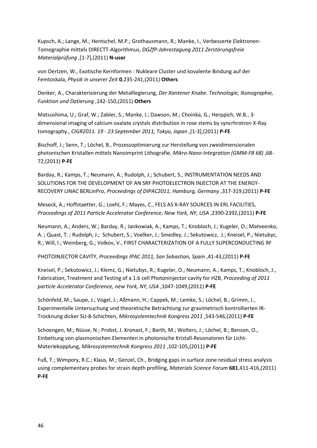Kupsch, A.; Lange, M.; Hentschel, M.P.; Grothausmann, R.; Manke, I., Verbesserte Elektronen-Tomographie mittels DIRECTT-Algorithmus, *DGZfP-Jahrestagung 2011 Zerstörungsfreie Materialprüfung* ,[1-7],(2011) **N-user**

von Oertzen, W., Exotische Kernformen : Nukleare Cluster und kovalente Bindung auf der Femtoskala, *Physik in unserer Zeit* **0**,235-241,(2011) **Others**

Denker, A., Charakterisierung der Metalllegierung, *Der Xantener Knabe. Technologie, Ikonographie, Funktion und Datierung* ,142-150,(2011) **Others**

Matsushima, U.; Graf, W.; Zabler, S.; Manke, I.; Dawson, M.; Choinka, G.; Herppich, W.B., 3 dimensional imaging of calcium oxalate crystals distribution in rose stems by syncrhrotron X-Ray tomography., *CIGR2011. 19 - 23 September 2011, Tokyo, Japan* ,[1-3],(2011) **P-FE**

Bischoff, J.; Senn, T.; Löchel, B., Prozessoptimierung zur Herstellung von zweidimensionalen photonischen Kristallen mittels Nanoimprint Lithografie, *Mikro-Nano-Integration (GMM-FB 68)* ,68- 72,(2011) **P-FE**

Barday, R.; Kamps, T.; Neumann, A.; Rudolph, J.; Schubert, S., INSTRUMENTATION NEEDS AND SOLUTIONS FOR THE DEVELOPMENT OF AN SRF PHOTOELECTRON INJECTOR AT THE ENERGY-RECOVERY LINAC BERLinPro, *Proceedings of DIPAC2011, Hamburg, Germany* ,317-319,(2011) **P-FE**

Meseck, A.; Hoffstaetter, G.; Loehl, F.; Mayes, C., FELS AS X-RAY SOURCES IN ERL FACILITIES, *Proceedings of 2011 Particle Accelerator Conference, New York, NY, USA* ,2390-2392,(2011) **P-FE**

Neumann, A.; Anders, W.; Barday, R.; Jankowiak, A.; Kamps, T.; Knobloch, J.; Kugeler, O.; Matveenko, A. ; Quast, T. ; Rudolph, J.; Schubert, S.; Voelker, J.; Smedley, J.; Sekutowicz, J.; Kneisel, P.; Nietubyc, R.; Will, I.; Weinberg, G.; Volkov, V., FIRST CHARACTERIZATION OF A FULLY SUPERCONDUCTING RF

PHOTOINJECTOR CAVITY, *Proceedings IPAC 2011, San Sebastian, Spain* ,41-43,(2011) **P-FE**

Kneisel, P.; Sekutowicz, J.; Klemz, G.; Nietubyc, R.; Kugeler, O.; Neumann, A.; Kamps, T.; Knobloch, J., Fabrication, Treatment and Testing of a 1.6 cell Photoninjector cavity for HZB, *Proceeding of 2011 particle Accelerator Conference, new York, NY, USA* ,1047-1049,(2011) **P-FE**

Schönfeld, M.; Saupe, J.; Vogel, J.; Aßmann, H.; Cappek, M.; Lemke, S.; Löchel, B.; Grimm, J., Experimentelle Untersuchung und theoretische Betrachtung zur gravimetrisch kontrollierten IR-Trocknung dicker SU-8-Schichten, *Mikrosystemtechnik Kongress 2011* ,543-546,(2011) **P-FE**

Schoengen, M.; Nüsse, N.; Probst, J. Kronast, F.; Barth, M.; Wolters, J.; Löchel, B.; Benson, O., Einbettung von plasmonischen Elementen in photonische Kristall-Resonatoren für Licht-Materiekopplung, *Mikrosystemtechnik Kongress 2011* ,102-105,(2011) **P-FE**

Fuß, T.; Wimpory, R.C.; Klaus, M.; Genzel, Ch., Bridging gaps in surface zone residual stress analysis using complementary probes for strain depth profiling, *Materials Science Forum* **681**,411-416,(2011) **P-FE**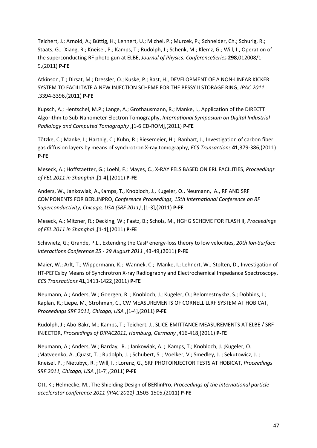Teichert, J.; Arnold, A.; Büttig, H.; Lehnert, U.; Michel, P.; Murcek, P.; Schneider, Ch.; Schurig, R.; Staats, G.; Xiang, R.; Kneisel, P.; Kamps, T.; Rudolph, J.; Schenk, M.; Klemz, G.; Will, I., Operation of the superconducting RF photo gun at ELBE, *Journal of Physics: ConferenceSeries* **298**,012008/1- 9,(2011) **P-FE**

Atkinson, T.; Dirsat, M.; Dressler, O.; Kuske, P.; Rast, H., DEVELOPMENT OF A NON-LINEAR KICKER SYSTEM TO FACILITATE A NEW INJECTION SCHEME FOR THE BESSY II STORAGE RING, *IPAC 2011* ,3394-3396,(2011) **P-FE**

Kupsch, A.; Hentschel, M.P.; Lange, A.; Grothausmann, R.; Manke, I., Application of the DIRECTT Algorithm to Sub-Nanometer Electron Tomography, *International Symposium on Digital Industrial Radiology and Computed Tomography* ,[1-6 CD-ROM],(2011) **P-FE**

Tötzke, C.; Manke, I.; Hartnig, C.; Kuhn, R.; Riesemeier, H.; Banhart, J., Investigation of carbon fiber gas diffusion layers by means of synchrotron X-ray tomography, *ECS Transactions* **41**,379-386,(2011) **P-FE**

Meseck, A.; Hoffstaetter, G.; Loehl, F.; Mayes, C., X-RAY FELS BASED ON ERL FACILITIES, *Proceedings of FEL 2011 in Shanghai* ,[1-4],(2011) **P-FE**

Anders, W., Jankowiak, A.,Kamps, T., Knobloch, J., Kugeler, O., Neumann, A., RF AND SRF COMPONENTS FOR BERLINPRO, *Conference Proceedings, 15th International Conference on RF Superconductivity, Chicago, USA (SRF 2011)* ,[1-3],(2011) **P-FE**

Meseck, A.; Mitzner, R.; Decking, W.; Faatz, B.; Scholz, M., HGHG SCHEME FOR FLASH II, *Proceedings of FEL 2011 in Shanghai* ,[1-4],(2011) **P-FE**

Schiwietz, G.; Grande, P.L., Extending the CasP energy-loss theory to low velocities, *20th Ion-Surface Interactions Conference 25 - 29 August 2011* ,43-49,(2011) **P-FE**

Maier, W.; Arlt, T.; Wippermann, K.; Wannek, C.; Manke, I.; Lehnert, W.; Stolten, D., Investigation of HT-PEFCs by Means of Synchrotron X-ray Radiography and Electrochemical Impedance Spectroscopy, *ECS Transactions* **41**,1413-1422,(2011) **P-FE**

Neumann, A.; Anders, W.; Goergen, R. ; Knobloch, J.; Kugeler, O.; Belomestnykhz, S.; Dobbins, J.; Kaplan, R.; Liepe, M.; Strohman, C., CW MEASUREMENTS OF CORNELL LLRF SYSTEM AT HOBICAT, *Proceedings SRF 2011, Chicago, USA* ,[1-4],(2011) **P-FE**

Rudolph, J.; Abo-Bakr, M.; Kamps, T.; Teichert, J., SLICE-EMITTANCE MEASUREMENTS AT ELBE / SRF-INJECTOR, *Proceedings of DIPAC2011, Hamburg, Germany* ,416-418,(2011) **P-FE**

Neumann, A.; Anders, W.; Barday, R. ; Jankowiak, A. ; Kamps, T.; Knobloch, J. ;Kugeler, O. ;Matveenko, A. ;Quast, T. ; Rudolph, J. ; Schubert, S. ; Voelker, V.; Smedley, J. ; Sekutowicz, J. ; Kneisel, P. ; Nietubyc, R. ; Will, I. ; Lorenz, G., SRF PHOTOINJECTOR TESTS AT HOBICAT, *Proceedings SRF 2011, Chicago, USA* ,[1-7],(2011) **P-FE**

Ott, K.; Helmecke, M., The Shielding Design of BERlinPro, *Proceedings of the international particle accelerator conference 2011 (IPAC 2011)* ,1503-1505,(2011) **P-FE**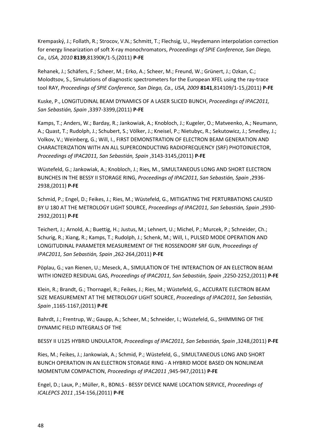Krempaský, J.; Follath, R.; Strocov, V.N.; Schmitt, T.; Flechsig, U., Heydemann interpolation correction for energy linearization of soft X-ray monochromators, *Proceedings of SPIE Conference, San Diego, Ca., USA, 2010* **8139**,81390K/1-5,(2011) **P-FE**

Rehanek, J.; Schäfers, F.; Scheer, M.; Erko, A.; Scheer, M.; Freund, W.; Grünert, J.; Ozkan, C.; Molodtsov, S., Simulations of diagnostic spectrometers for the European XFEL using the ray-trace tool RAY, *Proceedings of SPIE Conference, San Diego, Ca., USA, 2009* **8141**,814109/1-15,(2011) **P-FE**

Kuske, P., LONGITUDINAL BEAM DYNAMICS OF A LASER SLICED BUNCH, *Proceedings of IPAC2011, San Sebastián, Spain* ,3397-3399,(2011) **P-FE**

Kamps, T.; Anders, W.; Barday, R.; Jankowiak, A.; Knobloch, J.; Kugeler, O.; Matveenko, A.; Neumann, A.; Quast, T.; Rudolph, J.; Schubert, S.; Völker, J.; Kneisel, P.; Nietubyc, R.; Sekutowicz, J.; Smedley, J.; Volkov, V.; Weinberg, G.; Will, I., FIRST DEMONSTRATION OF ELECTRON BEAM GENERATION AND CHARACTERIZATION WITH AN ALL SUPERCONDUCTING RADIOFREQUENCY (SRF) PHOTOINJECTOR, *Proceedings of IPAC2011, San Sebastián, Spain* ,3143-3145,(2011) **P-FE**

Wüstefeld, G.; Jankowiak, A.; Knobloch, J.; Ries, M., SIMULTANEOUS LONG AND SHORT ELECTRON BUNCHES IN THE BESSY II STORAGE RING, *Proceedings of IPAC2011, San Sebastián, Spain* ,2936- 2938,(2011) **P-FE**

Schmid, P.; Engel, D.; Feikes, J.; Ries, M.; Wüstefeld, G., MITIGATING THE PERTURBATIONS CAUSED BY U 180 AT THE METROLOGY LIGHT SOURCE, *Proceedings of IPAC2011, San Sebastián, Spain* ,2930- 2932,(2011) **P-FE**

Teichert, J.; Arnold, A.; Buettig, H.; Justus, M.; Lehnert, U.; Michel, P.; Murcek, P.; Schneider, Ch.; Schurig, R.; Xiang, R.; Kamps, T.; Rudolph, J.; Schenk, M.; Will, I., PULSED MODE OPERATION AND LONGITUDINAL PARAMETER MEASUREMENT OF THE ROSSENDORF SRF GUN, *Proceedings of IPAC2011, San Sebastián, Spain* ,262-264,(2011) **P-FE**

Pöplau, G.; van Rienen, U.; Meseck, A., SIMULATION OF THE INTERACTION OF AN ELECTRON BEAM WITH IONIZED RESIDUAL GAS, *Proceedings of IPAC2011, San Sebastián, Spain* ,2250-2252,(2011) **P-FE**

Klein, R.; Brandt, G.; Thornagel, R.; Feikes, J.; Ries, M.; Wüstefeld, G., ACCURATE ELECTRON BEAM SIZE MEASUREMENT AT THE METROLOGY LIGHT SOURCE, *Proceedings of IPAC2011, San Sebastián, Spain* ,1165-1167,(2011) **P-FE**

Bahrdt, J.; Frentrup, W.; Gaupp, A.; Scheer, M.; Schneider, I.; Wüstefeld, G., SHIMMING OF THE DYNAMIC FIELD INTEGRALS OF THE

BESSY II U125 HYBRID UNDULATOR, *Proceedings of IPAC2011, San Sebastián, Spain* ,3248,(2011) **P-FE**

Ries, M.; Feikes, J.; Jankowiak, A.; Schmid, P.; Wüstefeld, G., SIMULTANEOUS LONG AND SHORT BUNCH OPERATION IN AN ELECTRON STORAGE RING - A HYBRID MODE BASED ON NONLINEAR MOMENTUM COMPACTION, *Proceedings of IPAC2011* ,945-947,(2011) **P-FE**

Engel, D.; Laux, P.; Müller, R., BDNLS - BESSY DEVICE NAME LOCATION SERVICE, *Proceedings of ICALEPCS 2011* ,154-156,(2011) **P-FE**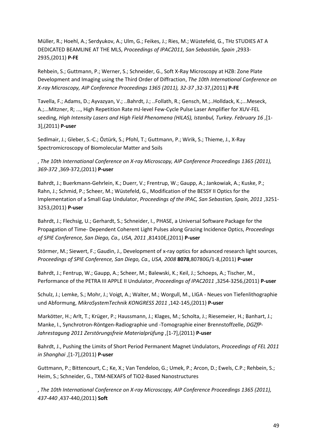Müller, R.; Hoehl, A.; Serdyukov, A.; Ulm, G.; Feikes, J.; Ries, M.; Wüstefeld, G., THz STUDIES AT A DEDICATED BEAMLINE AT THE MLS, *Proceedings of IPAC2011, San Sebastián, Spain* ,2933- 2935,(2011) **P-FE**

Rehbein, S.; Guttmann, P.; Werner, S.; Schneider, G., Soft X-Ray Microscopy at HZB: Zone Plate Development and Imaging using the Third Order of Diffraction, *The 10th International Conference on X-ray Microscopy, AIP Conference Proceedings 1365 (2011), 32-37* ,32-37,(2011) **P-FE**

Tavella, F.; Adams, D.; Ayvazyan, V.; ..Bahrdt, J.; ..Follath, R.; Gensch, M.;..Holldack, K.;...Meseck, A.;...Mitzner, R; ..., High Repetition Rate mJ-level Few-Cycle Pulse Laser Amplifier for XUV-FEL seeding, *High Intensity Lasers and High Field Phenomena (HILAS), Istanbul, Turkey. February 16* ,[1- 3],(2011) **P-user**

Sedlmair, J.; Gleber, S.-C.; Öztürk, S.; Pfohl, T.; Guttmann, P.; Wirik, S.; Thieme, J., X-Ray Spectromicroscopy of Biomolecular Matter and Soils

, *The 10th International Conference on X-ray Microscopy, AIP Conference Proceedings 1365 (2011), 369-372* ,369-372,(2011) **P-user**

Bahrdt, J.; Buerkmann-Gehrlein, K.; Duerr, V.; Frentrup, W.; Gaupp, A.; Jankowiak, A.; Kuske, P.; Rahn, J.; Schmid, P.; Scheer, M.; Wüstefeld, G., Modification of the BESSY II Optics for the Implementation of a Small Gap Undulator, *Proceedings of the IPAC, San Sebastian, Spain, 2011* ,3251- 3253,(2011) **P-user**

Bahrdt, J.; Flechsig, U.; Gerhardt, S.; Schneider, I., PHASE, a Universal Software Package for the Propagation of Time- Dependent Coherent Light Pulses along Grazing Incidence Optics, *Proceedings of SPIE Conference, San Diego, Ca., USA, 2011* ,81410E,(2011) **P-user**

Störmer, M.; Siewert, F.; Gaudin, J., Development of x-ray optics for advanced research light sources, *Proceedings of SPIE Conference, San Diego, Ca., USA, 2008* **8078**,80780G/1-8,(2011) **P-user**

Bahrdt, J.; Fentrup, W.; Gaupp, A.; Scheer, M.; Balewski, K.; Keil, J.; Schoeps, A.; Tischer, M., Performance of the PETRA III APPLE II Undulator, *Proceedings of IPAC2011* ,3254-3256,(2011) **P-user**

Schulz, J.; Lemke, S.; Mohr, J.; Voigt, A.; Walter, M.; Worgull, M., LIGA - Neues von Tiefenlithographie und Abformung, *MikroSystemTechnik KONGRESS 2011* ,142-145,(2011) **P-user**

Markötter, H.; Arlt, T.; Krüger, P.; Haussmann, J.; Klages, M.; Scholta, J.; Riesemeier, H.; Banhart, J.; Manke, I., Synchrotron-Röntgen-Radiographie und -Tomographie einer Brennstoffzelle, *DGZfP-Jahrestagung 2011 Zerstörungsfreie Materialprüfung* ,[1-7],(2011) **P-user**

Bahrdt, J., Pushing the Limits of Short Period Permanent Magnet Undulators, *Proceedings of FEL 2011 in Shanghai* ,[1-7],(2011) **P-user**

Guttmann, P.; Bittencourt, C.; Ke, X.; Van Tendeloo, G.; Umek, P.; Arcon, D.; Ewels, C.P.; Rehbein, S.; Heim, S.; Schneider, G., TXM-NEXAFS of TiO2-Based Nanostructures

, *The 10th International Conference on X-ray Microscopy, AIP Conference Proceedings 1365 (2011), 437-440* ,437-440,(2011) **Soft**